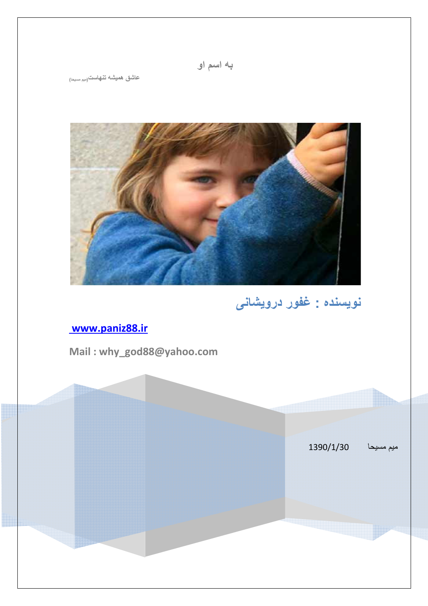عاشق همیشه تنهاست<sub>(میم مسحا)</sub>



نويسنده : غفور درويشانی

# www.paniz88.ir

Mail: why\_god88@yahoo.com

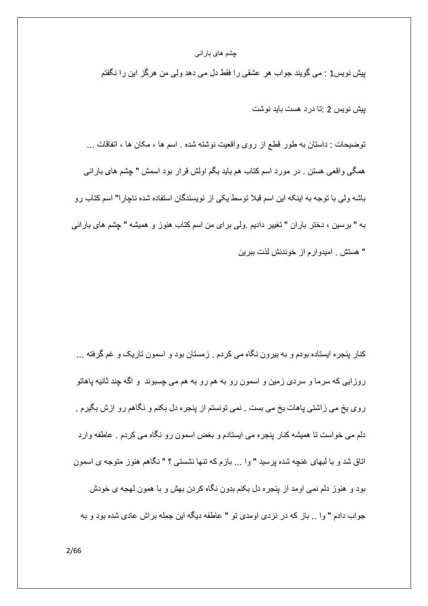پیش نویس1 : می گویند جواب هر عشقی را فقط دل می دهد ولمی من هرگز این را نگفتم

بیش نویس 2 تا در د هست باید نوشت

توضيحات : داستان به طور قطع از روى واقعيت نوشته شده . اسم ها ، مكان ها ، اتفاقات ... همگی واقعی هستن . در مورد اسم کتاب هم باید بگم اولش قرار بود اسمش " چشم های بارانی باشه ولی با توجه به اینکه این اسم قبلا توسط یکی از نویسندگان استفاده شده ناچار ا" اسم کتاب رو به " برسین ، دختر باران " تغییر دادیم ولی برای من اسم کتاب هنوز و همیشه " چشم های بارانی " هستش . اميدوارم از خوندنش لذت ببرين

کنار پنجره ایستاده بودم و به بیرون نگاه می کردم . زمستان بود و اسمون تاریک و غم گرفته ... روزایی که سرما و سردی زمین و اسمون رو به هم رو به هم می چسبوند ً و اگه چند ثانیه پاهاتو روی یخ می زاشتی پاهات یخ می بست . نمی تونستم از پنجره دل بکنم و نگاهم رو ازش بگیرم . دلم می خواست تا همیشه کنار پنجره می ایستادم و بغض اسمون رو نگاه می کردم . عاطفه وارد اتاق شد و با لبهای غنچه شده پرسید " وا ... بازم که تنها نشستی ؟ " نگاهم هنوز متوجه ی اسمون بود و هنوز دلم نمی اومد از بنجره دل بکنم بدون نگاه کردن بهش و با همون لهجه ی خودش جواب دادم " و ا .. باز كه در نز دي اومدي تو " عاطفه ديگه اين جمله بر اش عادي شده بود و به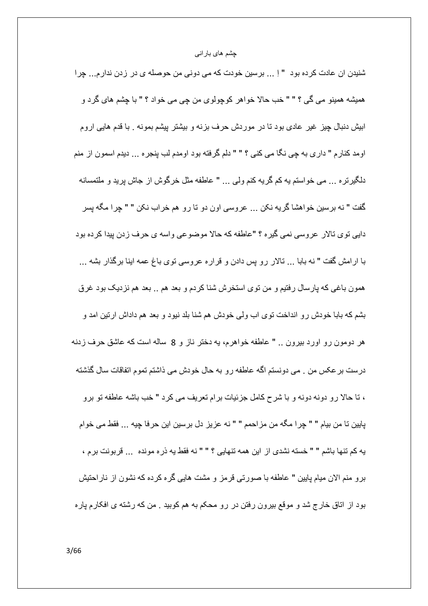شنیدن ان عادت کرده بود " اِ ... برسین خودت که می دونی من حوصله ی در زدن ندارم... چرا همیشه همینو می گی ؟ " " خب حالا خواهر کوچولوی من چی می خواد ؟ " با چشم های گرد و ابیش دنبال چیز غیر عادی بود تا در موردش حرف بزنه و بیشتر پیشم بمونه . با قدم هایی اروم اومد كنار م " داري به چي نگا مي كني ؟ " " دلم گرفته بود اومدم لب پنجره ... ديدم اسمون از منم دلگیرنره ... می خواستم یه کم گریه کنم ولی ... " عاطفه مثل خرگوش از جاش پرید و ملتمسانه گفت " نه برسين خواهشا گريه نكن ... عروسي اون دو تا رو هم خراب نكن " " چرا مگه پسر دايي توي تالار عروسي نمي گيره ؟ "عاطفه كه حالا موضوعي واسه ي حرف زدن پيدا كرده بود با ارامش گفت " نه بابا … تالار رو پس دادن و قراره عروسی توی باغ عمه اینا برگذار بشه … همون باغی که پارسال رفتیم و من توی استخرش شنا کردم و بعد هم .. بعد هم نزدیک بود غرق بشم كه بابا خودش رو انداخت توى اب ولى خودش هم شنا بلد نبود و بعد هم داداش ارتين امد و هر دومون رو اورد بیرون .. " عاطفه خواهرم، یه دختر ناز و 8 ساله است که عاشق حرف زدنه درست بر عكس من . مي دونستم اگه عاطفه رو به حال خودش مي ذاشتم تموم اتفاقات سال گذشته ، نا حالا رو دونه دونه و با شرح كامل جزئيات بر ام نعريف مي كرد " خب باشه عاطفه نو برو پايين نا من بيام " " چرا مگه من مزاحمم " " نه عزيز دل برسين اين حرفا چيه ... فقط مي خوام به كم تنها باشم " " خسته نشدى از اين همه تنهايي ؟ " " نه فقط به ذره مونده ... قربونت برم ، بر و منم الان ميام بابين " عاطفه با صور تي قر مز و مشت هايي گر ه كر ده كه نشو ن از نار احتيش بود از اتاق خارج شد و موقع بیرون رفتن در رو محکم به هم کوبید . من که رشته ی افکارم پاره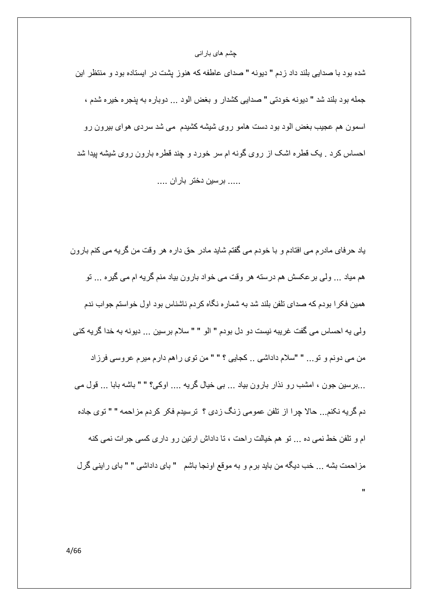شده بود با صدایی بلند داد زدم " دیونه " صدای عاطفه که هنوز پشت در ایستاده بود و منتظر این جمله بود بلند شد " ديونه خودتي " صدايي كشدار و بغض الود ... دوباره به ينجره خيره شدم ، اسمون هم عجیب بغض الود بود دست هامو روی شیشه کشیدم ًمی شد سردی هوای بیرون رو احساس کرد . یک قطره اشک از روی گونه ام سر خورد و چند قطره بارون روی شیشه بیدا شد ..... برسين دختر باران ....

ياد حرفاي مادرم مي افتادم و با خودم مي گفتم شايد مادر حق داره هر وقت من گريه مي كنم بارون هم میاد … ولی بر عکسش هم درسته هر وقت می خواد بارون بیاد منم گریه ام می گیره … تو همین فکر ا بو دم که صدای تلفن بلند شد به شمار ه نگاه کر دم ناشناس بو د اول خواستم جو اب ندم ولي يه احساس مي گفت غريبه نيست دو دل بودم " الو " " سلام برسين ... ديونه به خدا گريه كني من مي دونم و تو... " "سلام داداشي .. كجايي ؟ " " من توى راهم دارم ميرم عروسي فرزاد ...برسین جون ، امشب رو نذار بارون بیاد ... بی خیال گریه .... اوکی؟ " " باشه بابا ... قول می دم گریه نکنم... حالا چرا از تلفن عمومی زنگ زدی ؟ ترسیدم فکر کردم مزاحمه " " توی جاده ام و تلفن خط نمی ده ... تو هم خیالت راحت ، تا داداش ارتین رو داری کسی جرات نمی کنه مزاحمت بشه ... خب دیگه من باید برم و به موقع اونجا باشم " بای داداشی " " بای راینی گرل

 $\mathbf{u}$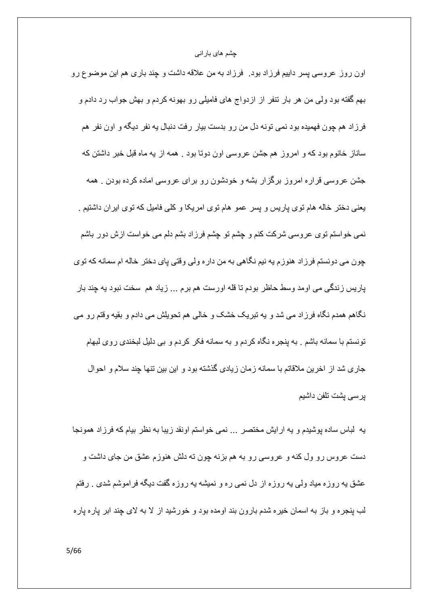اون روز عروسی پسر داییم فرزاد بود. ۖ فرزاد به من علاقه داشت و چند باری هم این موضوع رو بهم گفته بود ولی من هر بار تنفر از ازدواج های فامیلی رو بهونه کردم و بهش جواب رد دادم و فرزاد هم چون فهمیده بود نمی تونه دل من رو بدست بیار رفت دنبال یه نفر دیگه و اون نفر هم ساناز خانوم بود که و امروز هم جشن عروسی اون دوتا بود . همه از به ماه قبل خبر داشتن که جشن عروسی قراره امروز برگزار بشه و خودشون رو برای عروسی اماده کرده بودن . همه یعنی دختر خاله هام توی پاریس و پسر عمو هام توی امریکا و کلّی فامیل که توی ایران داشتیم . نمی خواستم توی عروسی شرکت کنم و چشم تو چشم فرزاد بشم دلم می خواست ازش دور باشم چون می دونستم فرزاد هنوزم یه نیم نگاهی به من داره ولی وقتی پای دختر خاله ام سمانه که توی پاریس زندگی می اومد وسط حاظر بودم تا قله اورست هم برم ... زیاد هم سخت نبود یه چند بار نگاهم همدم نگاه فرزاد می شد و به تبریک خشک و خالی هم تحویلش می دادم و بقیه وقتم رو می تونستم با سمانه باشم . به پنجر ه نگاه کر دم و به سمانه فکر کر دم و بی دلیل لبخندی روی لبهام جار ی شد از اخرین ملاقاتم با سمانه زمان زیادی گذشته بود و این بین تنها جند سلام و احوال برسي بشت تلفن داشيم

يه لمباس ساده پوشيدم و يه ارايش مختصر … نمي خواستم اونقد زيبا به نظر بيام كه فرزاد همونجا دست عروس رو ول کنه و عروسی رو به هم بزنه چون ته دلش هنوزم عشق من جای داشت و عشق یه روزه میاد ولی یه روزه از دل نمی ره و نمیشه یه روزه گفت دیگه فراموشم شدی <sub>.</sub> رفتم لب پنجره و باز به اسمان خیره شدم بارون بند اومده بود و خورشید از لا به لای چند ابر پاره پاره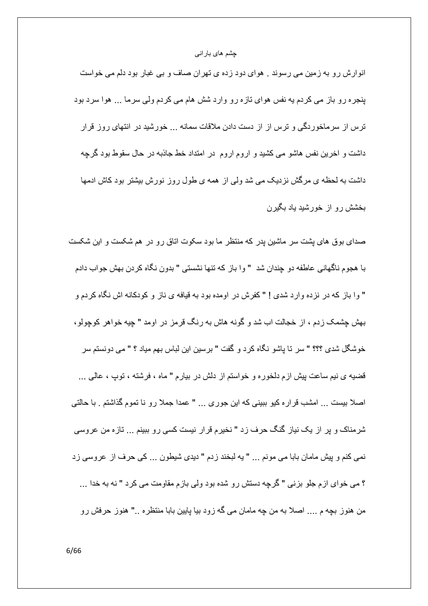انوارش رو به زمین می رسوند . هوای دود زده ی تهران صاف و بی غبار بود دلم می خواست بنجره رو باز می کردم به نفس هوای تازه رو وارد شش هام می کردم ولی سرما ... هوا سرد بود ترس از سرماخوردگی و ترس از از دست دادن ملاقات سمانه ... خورشید در انتهای روز قرار داشت و اخرین نفس هاشو می کشید و اروم اروم در امتداد خط جاذبه در حال سقوط بود گرچه داشت به لحظه ی مرگش نزدیک می شد ولی از همه ی طول روز نورش بیشتر بود کاش ادمها بخشش رو از خورشید یاد بگیر ن

صدای بوق های پشت سر ماشین پدر که منتظر ما بود سکوت اتاق رو در هم شکست و این شکست با هجوم ناگهانی عاطفه دو چندان شد " وا باز که تنها نشستی " بدون نگاه کردن بهش جواب دادم " وا باز كه در نزده وارد شدى ! " كفرش در اومده بود به قيافه ى ناز و كودكانه اش نگاه كردم و بهش چشمک زدم ، از خجالت اب شد و گونه هاش به رنگ قرمز در اومد " چیه خواهر کوچولو، خوشگل شدي ؟؟؟ " سر تا ياشو نگاه كرد و گفت " برسين اين لباس بهم مياد ؟ " مي دونستم سر قضيه ي نيم ساعت پيش ازم دلخوره و خواستم از دلش در بيارم " ماه ، فرشته ، توپ ، عالمي ... اصلاً بيست ... امشب قراره كيو ببيني كه اين جوري ... " عمدا جملاً رو نا تموم گذاشتم . با حالتي شرمناک و پر از یک نیاز گنگ حرف زد " نخیرم قرار نیست کسی رو ببینم ... تازه من عروسی نمي كنم و پيش مامان بابا مي مونم ... " يه لبخند زدم " ديدي شيطون ... كي حرف از عروسي زد ؟ مي خواي ازم جلو بزني " گرچه دستش رو شده بود ولي بازم مقاومت مي كرد " نه به خدا ... من هنوز بچه م .... اصلا به من چه مامان می گه زود بیا پایین بابا منتظره .." هنوز حرفش رو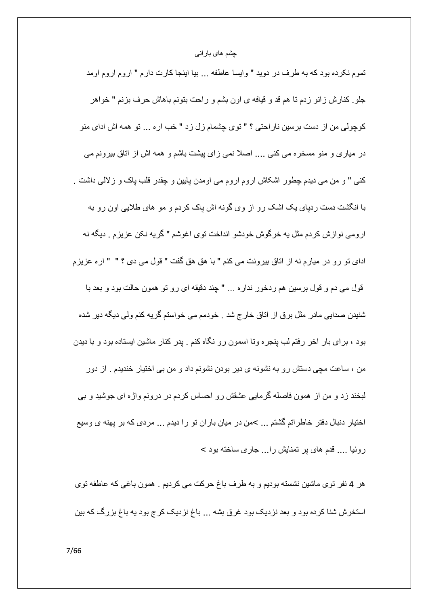تموم نكرده بود كه به طرف در دويد " وايسا عاطفه ... بيا اينجا كارت دارم " اروم اروم اومد جلو. كنارش زانو زدم تا هم قد و قيافه ي اون بشم و راحت بتونم باهاش حرف بزنم " خواهر كوچولي من از دست برسين ناراحتي ؟ " توى چشمام زل زد " خب اره ... تو همه اش اداى منو در میاری و منو مسخره می کنی .... اصلا نمی زای بیشت باشم و همه اش از اتاق بیرونم می كنبي " و من مي ديدم چطور اشكاش اروم اروم مي اومدن پايين و چقدر قلب پاك و زلالمي داشت . با انگشت دست ردیای یک اشک رو از وی گونه اش یاک کردم و مو های طلایی اون رو به ارومي نوازش كردم مثل به خرگوش خودشو انداخت توي اغوشم " گريه نكن عزيزم . ديگه نه اداي تو رو در ميارم نه از اتاق بيرونت مي كنم " با هق هق گفت " قول مي دي ؟ " " اره عزيزم قول مي دم و قول برسين هم ردخور نداره ... " چند دقيقه اي رو تو همون حالت بود و بعد با شنیدن صدایی مادر مثل برق از اتاق خارج شد . خودمم می خواستم گریه کنم ولی دیگه دیر شده بود ، برای بار اخر رفتم لب پنجره وتا اسمون رو نگاه کنم . پدر کنار ماشین ایستاده بود و با دیدن من ، ساعت مچی دستش رو به نشونه ی دیر بودن نشونم داد و من بی اختیار خندیدم . از دور لبخند زد و من از همون فاصله گرمایی عشقش رو احساس کردم در درونم واژه ای جوشید و بی اختیار دنبال دفتر خاطراتم گشتم ... >من در میان باران تو را دیدم ... مردی که بر پهنه ی وسیع روئیا .... قدم های بر تمنایش را... جاری ساخته بود >

هر 4 نفر توى ماشين نشسته بوديم و به طرف باغ حركت مى كرديم . همون باغى كه عاطفه توى استخرش شنا کرده بود و بعد نزدیک بود غرق بشه ... باغ نزدیک کرج بود یه باغ بزرگ که بین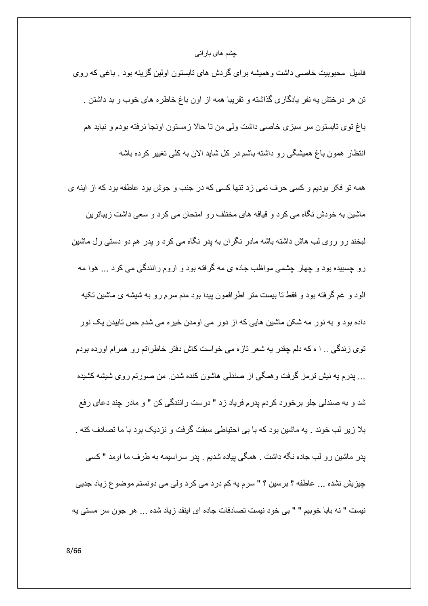فامیل ًمحبوبیت خاصبی داشت و همیشه بر ای گردش های تابستون اولین گزینه بود . باغی که روی تن هر درختش به نفر بادگاری گذاشته و تقریبا همه از اون باغ خاطره های خوب و بد داشتن . باغ نوی نابستون سر سبزی خاصبی داشت ولی من نا حالا زمستون اونجا نرفته بودم و نباید هم انتظار ِ همون باغ همیشگی رو داشته باشم در کل شاید الان به کلّی تغییر کرده باشه

همه تو فكر بوديم و كسى حرف نمى زد تنها كسى كه در جنب و جوش بود عاطفه بود كه از اينه ي ماشین به خودش نگاه می کرد و قیافه های مختلف رو امتحان می کرد و سعی داشت زیباترین لبخند رو روی لب هاش داشته باشه مادر نگران به پدر نگاه می کرد و پدر هم دو دستی رل ماشین رو چسبیده بود و چهار چشمی مواظب جاده ی مه گرفته بود و اروم رانندگی می کرد ... هوا مه الود و غم گرفته بود و فقط تا بیست متر اطرافمون پیدا بود منم سرم رو به شیشه ی ماشین تکیه داده بود و به نور مه شکن ماشین هایی که از دور می اومدن خیره می شدم حس تابیدن یک نور توی زندگی .. ا ه که دلم چقدر به شعر تازه می خواست کاش دفتر خاطراتم رو همرام اورده بودم … پدرم به نیش ترمز گرفت و همگی از صندلی هاشون کنده شدن ِ من صورتم روی شیشه کشیده شد و به صندلي جلو برخورد كردم پدرم فرياد زد " درست رانندگي كن " و مادر چند دعاي رفع بلا زیر لب خوند . یه ماشین بود که با بی احتیاطی سبقت گرفت و نزدیک بود با ما تصادف کنه . پدر ماشین رو لب جاده نگه داشت . همگی پیاده شدیع . پدر سراسیمه به طرف ما اومد " کسی چیزیش نشده ... عاطفه ؟ برسین ؟ " سرم یه کم درد می کرد ولی می دونستم موضوع زیاد جدیی نيست " نه بابا خوبيم " " بي خود نيست تصادفات جاده اي اينقد ز ياد شده ... هر جون سر مستي يه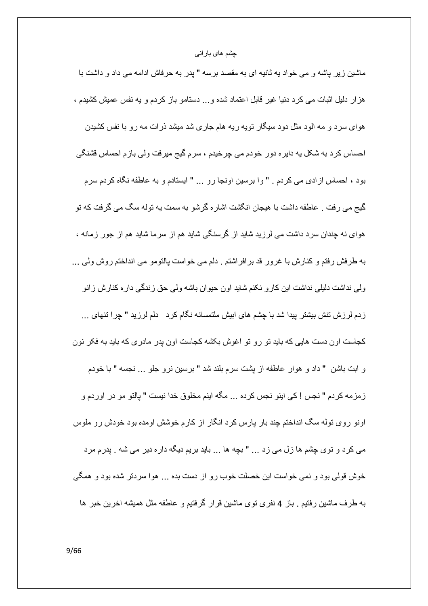ماشین زیر پاشه و می خواد به ثانیه ای به مقصد برسه " پدر به حرفاش ادامه می داد و داشت با هز ار دلیل اثبات می کرد دنیا غیر قابل اعتماد شده و... دستامو باز کردم و یه نفس عمیش کشیدم ، هوای سرد و مه الود مثل دود سیگار نویه ریه هام جاری شد میشد ذرات مه رو با نفس کشیدن احساس کرد به شکل په داپره دور خودم می چرخیدم ، سرم گیج میرفت ولی بازم احساس قشنگی بود ، احساس ازادی می کردم . " وا برسین اونجا رو ... " ایستادم و به عاطفه نگاه کردم سرم گیج می رفت . عاطفه داشت با هیجان انگشت اشاره گرشو به سمت به توله سگ می گرفت که تو هوای نه چندان سرد داشت می لرزید شاید از گرسنگی شاید هم از سرما شاید هم از جور زمانه ، به طرفش رفتم و کنارش با غرور قد برافراشتم . دلم می خواست پالتومو می انداختم روش ولی … ولی نداشت دلیلی نداشت این کار و نکنم شاید اون حیوان باشه ولی حق زندگی دار ه کنارش زانو زدم لرزش تنش بیشتر بیدا شد با چشم های ابیش ملتمسانه نگام کرد \_ دلم لرزید " چرا تنهای ... کجاست اون دست هایی که باید تو رو تو اغوش بکشه کجاست اون پدر مادری که باید به فکر نون و ابت باشن " داد و هوار عاطفه از پشت سرم بلند شد " برسین نرو جلو ... نجسه " با خودم زمزمه كردم " نجس ! كي اينو نجس كرده ... مگه اينم مخلوق خدا نيست " پالتو مو در اوردم و اونو روی توله سگ انداختم چند بار پارس کرد انگار از کارم خوشش اومده بود خودش رو ملوس می کرد و توی چشم ها زل می زد ... " بچه ها ... باید بریم دیگه داره دیر می شه . پدرم مرد خوش قولی بود و نمی خواست این خصلت خوب رو از دست بده ... هوا سردتر شده بود و همگی به طرف ماشین رفتیم <sub>.</sub> باز 4 نفری توی ماشین قرار گرفتیم و عاطفه مثل همیشه اخرین خبر ها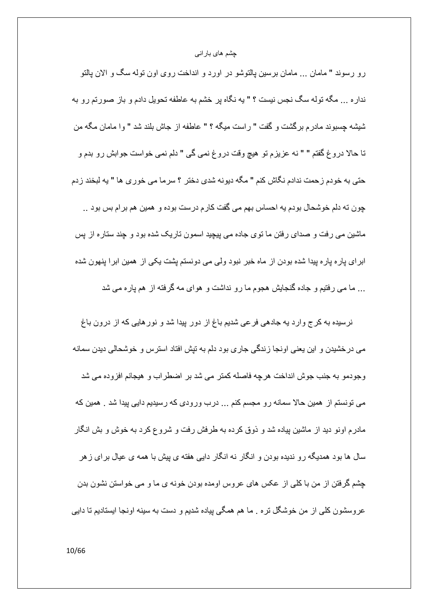رو رسوند " مامان … مامان برسین پالتوشو در اورد و انداخت روی اون توله سگ و الان پالتو نداره ... مگه توله سگ نجس نیست ؟ " یه نگاه پر خشم به عاطفه تحویل دادم و باز صورتم رو به شَيِشْه جِسبِوند مادر م بر گشت و گفت " ر است ميگه ؟ " عاطفه از جاش بلند شد " و ا مامان مگه من تا حالا دروغ گفتم " " نه عزیزم تو هیچ وقت دروغ نمی گی " دلم نمی خواست جوابش رو بدم و حتى به خودم زحمت ندادم نگاش كنم " مگه ديونه شدى دختر ؟ سرما مى خورى ها " يه لبخند زدم چون ته دلم خوشحال بودم به احساس بهم می گفت کارم درست بوده و همین هم بر ام بس بود .. ماشین می رفت و صدای رفتن ما توی جاده می پیچید اسمون تاریک شده بود و چند ستاره از پس ابرای پاره پاره پیدا شده بودن از ماه خبر نبود ولی می دونستم پشت یکی از همین ابرا پنهون شده ... ما می ر فتیم و جاده گنجایش هجوم ما ر و نداشت و هوای مه گر فته از هم بار ه می شد

نرسیده به کرج وارد یه جادهی فرعی شدیم باغ از دور پیدا شد و نور هایی که از درون باغ می در خشیدن و این یعنی اونجا زندگی جاری بود دلم به تیش افتاد استرس و خوشحالی دیدن سمانه وجودمو به جنب جوش انداخت هرچه فاصله كمتر مي شد بر اضطراب و هيجانم افزوده مي شد می تونستم از همین حالا سمانه رو مجسم کنم ... درب ورودی که رسیدیم دایی پیدا شد . همین که مادرم اونو دید از ماشین بیاده شد و ذوق کرده به طرفش رفت و شروع کرد به خوش و بش انگار سال ها بود همدیگه رو ندیده بودن و انگار نه انگار دایی هفته ی پیش با همه ی عیال برای ز هر چشم گرفتن از من با کلی از عکس های عروس اومده بودن خونه ی ما و می خواستن نشون بدن عروسشون کلّی از من خوشگل تره . ما هم همگی بیاده شدیع و دست به سبنه اونجا ایستادیم تا دایی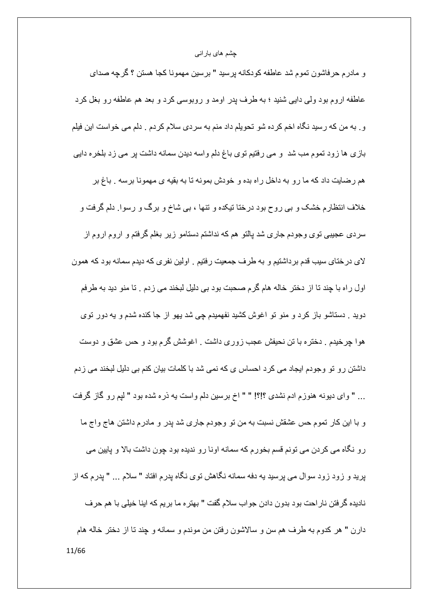و مادرم حرفاشون تموم شد عاطفه كودكانه پرسید " برسین مهمونا كجا هستن ؟ گرچه صدای عاطفه اروم بود ولي دايي شنيد ؛ به طرف پدر اومد و روبوسي كرد و بعد هم عاطفه رو بغل كرد و . به من كه رسيد نگاه اخم كرده شو تحويلم داد منم به سردي سلام كردم . دلم مي خواست اين فيلم بازی ها زود تموم مب شد و می رفتیم توی باغ دلم واسه دیدن سمانه داشت پر می زد بلخره دایی هم رضایت داد که ما رو به داخل راه بده و خودش بمونه تا به بقیه ی مهمونا برسه . باغ بر خلاف انتظارم خشک و ببی روح بود درختا تیکده و تنها ، ببی شاخ و برگ و رسوا ِ دلم گرفت و سردی عجیبی توی وجودم جاری شد پالتو هم که نداشتم دستامو زیر بغلم گرفتم و اروم اروم از لای درختای سیب قدم برداشتیم و به طرف جمعیت رفتیم . اولین نفری که دیدم سمانه بود که همون اول راه با چند تا از دختر خاله هام گرم صحبت بود بی دلیل لبخند می زدم . تا منو دید به طرفم دوید . دستاشو باز کرد و منو تو اغوش کشید نفهمیدم چی شد یهو از جا کنده شدم و یه دور توی هوا چرخیدم . دختره با تن نحیفش عجب زوری داشت . اغوشش گرم بود و حس عشق و دوست داشتن رو تو وجودم ایجاد می کرد احساس ی که نمی شد با کلمات بیان کنم بی دلیل لبخند می زدم … " واي ديونه هنوزم ادم نشدي ؟!؟! " " اخ برسين دلم واست يه ذره شده بود " لَبِم رو گاز گرفت و با این کار تموم حس عشقش نسبت به من تو وجودم جاری شد پدر و مادرم داشتن هاج واج ما رو نگاه می کردن می تونم قسم بخورم که سمانه اونا رو ندیده بود چون داشت بالا و پایین می بر بد و زود زود سوال می بر سبد به دفه سمانه نگاهش توی نگاه بدر م افتاد " سلام ... " بدر م که از ناديده گرفتن ناراحت بود بدون دادن جواب سلام گفت " بهتره ما بريم كه اينا خيلي با هم حرف دارن " هر كدوم به طرف هم سن و سالاشون رفتن من موندم و سمانه و چند تا از دختر خاله هام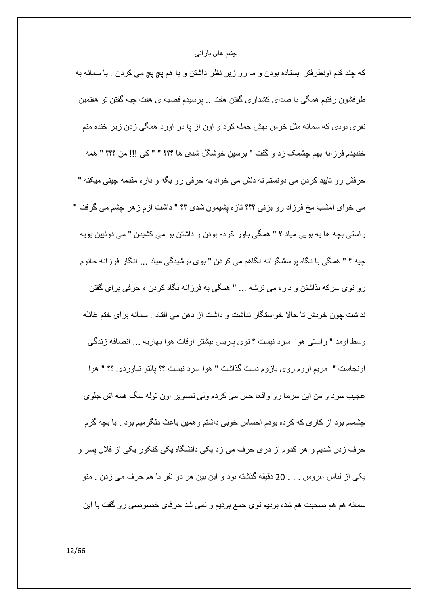كه چند قدم اونطرفتر ايستاده بودن و ما رو زير نظر داشتن و با هم پچ پچ مي كردن <sub>.</sub> با سمانه به طرفشون رفتیم همگی با صدای کشداری گفتن هفت .. پرسیدم قضیه ی هفت چیه گفتن تو هفتمین نفری بودی که سمانه مثل خرس بهش حمله کرد و اون از یا در اورد همگی زدن زیر خنده منم خنديدم فرزانه بهم جِشمک زد و گفت " بر سين خوشگل شدي ها ؟؟؟ " " كي !!! من ؟؟؟ " همه حرفش رو تاييد كردن مي دونستم ته دلش مي خواد په حرفي رو بگه و داره مقدمه چيني ميكنه " می خوای امشب مخ فرزاد رو بزنی ؟؟؟ تازه پشیمون شدی ؟؟ " داشت ازم زهر چشم می گرفت " ر استی بچه ها یه بویی میاد ؟ " همگی باور کرده بودن و داشتن بو می کشیدن " می دونبین بویه چیه ؟ " ه*م*گی با نگاه پرسشگرانه نگاهم می کردن " بوی ترشیدگی میاد ... انگار فرزانه خانوم ر و توی سر که نذاشتن و دار ه می تر شه ... " همگی به فر ز انه نگاه کر دن ، حر فی بر ای گفتن نداشت جون خودش نا حالا خواستگار نداشت و داشت از دهن می افتاد . سمانه برای ختم غائله وسط اومد " راستي هوا سرد نيست ؟ توي پاريس بيشتر اوقات هوا بهاريه ... انصافه زندگي اونجاست " مريم اروم روى بازوم دست گذاشت " هوا سرد نيست ؟؟ يالتو نياوردى ؟؟ " هوا عجیب سرد و من این سرما رو واقعا حس می کردم ولی تصویر اون توله سگ همه اش جلوی چشمام بود از کاری که کرده بودم احساس خوبی داشتم و همین باعث دلگر میم بود . با بچه گرم حرف زدن شدیم و هر کدوم از دری حرف می زد یکی دانشگاه یکی کنکور یکی از فلان پسر و يكي از لباس عروس . . . 20 دقيقه گذشته بود و اين بين هر دو نفر با هم حرف مي زدن . منو سمانه هم هم صحبت هم شده بودیم توی جمع بودیم و نمی شد حرفای خصوصـی رو گفت با این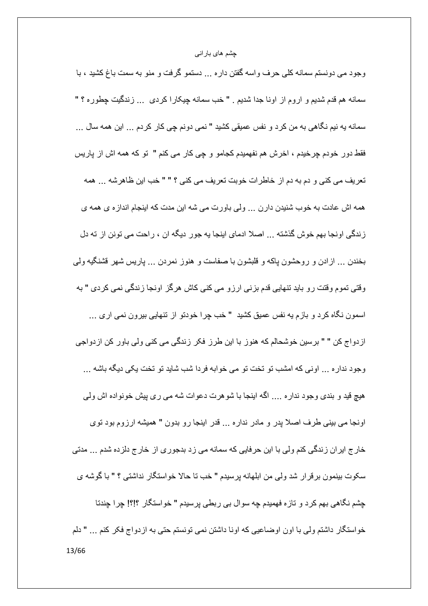وجود می دونستم سمانه کلی حرف واسه گفتن داره ... دستمو گرفت و منو به سمت باغ کشید ، با سمانه هم قدم شدیم و اروم از اونا جدا شدیم . " خب سمانه چیکارا کردی ... زندگیت چطوره ؟ " سمانه به نیم نگاهی به من کرد و نفس عمیقی کشید " نمی دونم چی کار کردم ... این همه سال ... فقط دور خودم چرخیدم ، اخرش هم نفهمیدم کجامو و چی کار می کنم " تو که همه اش از پاریس تعريف مي كني و دم به دم از خاطرات خوبت تعريف مي كني ؟ " " خب اين ظاهرشه ... همه همه اش عادت به خوب شنیدن دارن ... ولَّى باورت مى شه این مدت كه اینجام انداز ه ى همه ى زندگی اونجا بهم خوش گذشته ... اصلا ادمای اینجا یه جور دیگه ان ، راحت می تونن از ته دل بخندن … ازادن و روحشون پاکه و قلبشون با صفاست و هنوز نمردن … پاریس شهر قشنگیه ولمی وقتی تموم وقتت رو باید تنهایی قدم بزنی ارزو می کنی کاش هرگز اونجا زندگی نمی کردی " به اسمون نگاه كرد و بازم به نفس عميق كشيد " خب چرا خودتو از تنهايي بيرون نمي اري ... از دواج کن " " بر سين خوشحالم که هنور ً با اين طرز فکر زندگي مي کني ولي باور کن از دواجي وجود نداره ... اونيي كه امشب تو تخت تو مي خوابه فردا شب شايد تو تخت يكي ديگه باشه ... هیچ قید و بندی وجود نداره .... اگه اینجا با شوهرت دعوات شه می ری پیش خونواده اش ولمی اونجا می بینی طرف اصلاً پدر و مادر نداره ... قدر اینجا رو بدون " همیشه ارزوم بود توی خارج ایران زندگی کنم ولی با این حرفایی که سمانه می زد بدجوری از خارج دلزده شدم ... مدتی سکوت بینمون بر قر ار شد ولی من ابلهانه بر سیدم " خب تا حالا خو استگار ِ نداشتی ؟ " با گوشه ی چشم نگاهی بهم کرد و تازه فهمیدم چه سوال بی ربطی پرسیدم " خواستگار ؟!؟! چرا چندتا خواستگار داشتم ولي با اون اوضاعيي كه اونا داشتن نمي تونستم حتى به ازدواج فكر كنم ... " دلم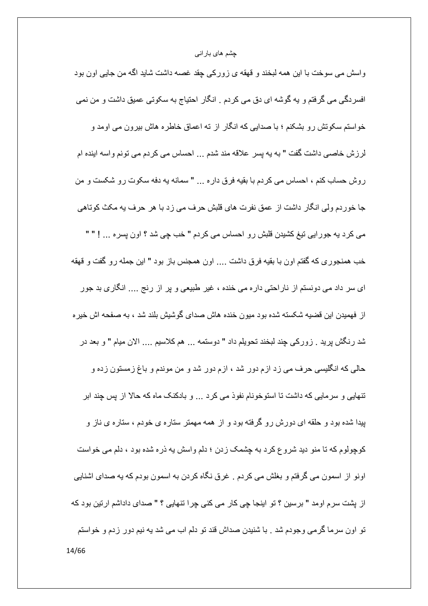واسش می سوخت با این همه لبخند و قهقه ی زورکی چقد غصـه داشت شاید اگـه من جایی اون بود افسردگی می گرفتم و به گوشه ای دق می کردم . انگار احتیاج به سکوتی عمیق داشت و من نمی خو استم سکونش ر و بشکنم ؛ با صدایی که انگار از ته اعماق خاطر ه هاش بیر و ن می اومد و لرزش خاصبي داشت گفت " به به پسر علاقه مند شدم ... احساس مي كردم مي تونم واسه اينده ام روش حساب كنم ، احساس مى كردم با بقيه فرق داره ... " سمانه يه دفه سكوت رو شكست و من جا خوردم ولّي انگار داشت از عمق نفرت هاي قلبش حرف مي زد با هر حرف به مكث كوتاهي می کرد یه جورایی تیغ کشیدن قلبش رو احساس می کردم " خب چی شد ؟ اون پسره ... ! " " خب همنجوري كه گفتم اون با بقيه فرق داشت .... اون همجنس باز بود " اين جمله رو گفت و قهقه ای سر داد می دونستم از ناراحتی داره می خنده ، غیر طبیعی و بر از رنج .... انگاری بد جور از فهمیدن این قضیه شکسته شده بود میون خنده هاش صدای گوشیش بلند شد ، به صفحه اش خیر ه شد رنگش پريد . زوركي چند لبخند تحويلم داد " دوستمه ... هم كلاسيم .... الان ميام " و بعد در حالی که انگلیسی حرف می زد ازم دور شد ، ازم دور شد و من موندم و باغ زمستون زده و تنهایی و سرمایی که داشت تا استوخونام نفوذ می کرد … و بادکنک ماه که حالا از پس چند ابر پیدا شده بود و حلقه ای دورش رو گرفته بود و از همه مهمتر ستاره ی خودم ، ستاره ی ناز و کوچولوم که تا منو دید شروع کرد به چشمک زدن ؛ دلم واسش په ذره شده بود ، دلم می خواست اونو از اسمون می گرفتم و بغلش می کردم . غرق نگاه کردن به اسمون بودم که به صدای اشنایی از پشت سرم اومد " برسین ؟ تو اینجا چی کار می کنی چرا تنهایی ؟ " صدای داداشم ارتین بود که تو اون سرما گرمی وجودم شد . با شنیدن صداش قند تو دلم اب می شد یه نیم دور زدم و خواستم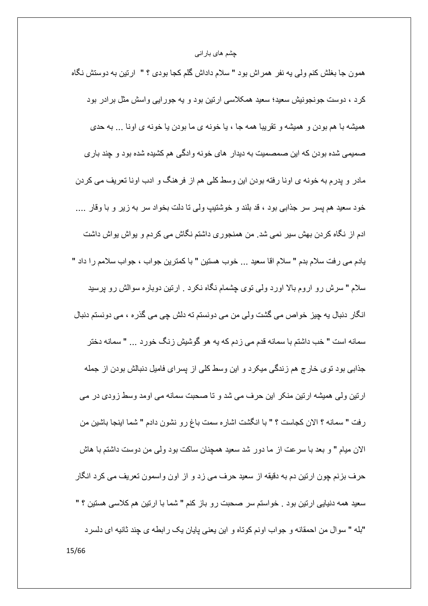همون جا بغلش کنم ولمی یه نفر همراش بود " سلام داداش گلم کجا بودی ؟ " ارتین به دوستش نگاه کرد ، دوست جونجونیش سعید؛ سعید همکلاسی ارتین بود و یه جورایی واسش مثل برادر بود همیشه با هم بودن و همیشه و نقریبا همه جا ، یا خونه ی ما بودن یا خونه ی اونا ... به حدی صمیمی شده بودن که این صمصمیت به دیدار ِ های خونه وادگی هم کشیده شده بود و چند بار ی مادر و پدرم به خونه ي اونا رفته بودن اين وسط كلبي هم از فرهنگ و ادب اونا تعريف مي كردن خود سعيد هم پسر سر جذابي بود ، قد بلند و خوشتيپ ولي نا دلت بخواد سر به زير و با وقار …. ادم از نگاه کردن بهش سیر نمی شد. من همنجوری داشتم نگاش می کردم و بواش بواش داشت يادم مي رفت سلام بدم " سلام اقا سعيد ... خوب هستين " با كمترين جواب ، جواب سلامم را داد " سلام " سرش رو اروم بالا اورد ولی نوی چشمام نگاه نکرد . ارتین دوباره سوالش رو پرسید انگار دنبال به چیز خواص می گشت ولی من می دونستم ته دلش چی می گذر ه ، می دونستم دنبال سمانه است " خب داشتم با سمانه قدم می ز دم که به هو گوشیش ز نگ خور د ... " سمانه دختر جذابی بود نوی خارج هم زندگی میکرد و این وسط کلی از پسرای فامیل دنبالش بودن از جمله ارتین ولی همیشه ارتین منکر این حرف می شد و تا صحبت سمانه می اومد وسط زودی در می رفت " سمانه ؟ الان كجاست ؟ " با انگشت اشاره سمت باغ رو نشون دادم " شما اينجا باشين من الان ميام " و بعد با سرعت از ما دور شد سعيد همچنان ساكت بود ولي من دوست داشتم با هاش حرف بزنم چون ارتین دم به دقیقه از سعید حرف می زد و از اون واسمون تعریف می کرد انگار سعید همه دنیایی ارتین بود <sub>.</sub> خواستم سر صحبت رو باز کنم " شما با ارتین هم کلاسی هستین ؟ " "بله " سوال من احمقانه و جواب اونم كوتاه و اين يعني پايان يك رابطه ي چند ثانيه اي دلسرد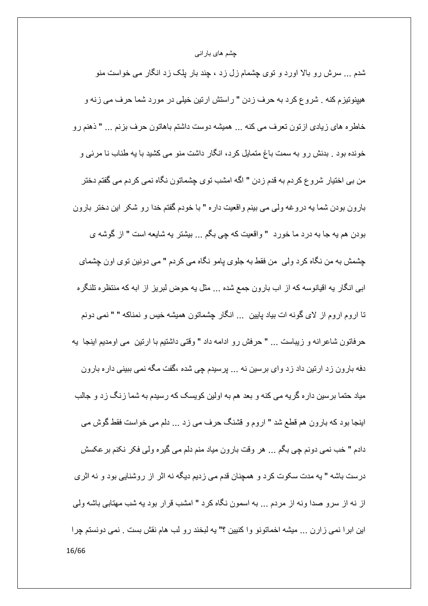شدم … سرش رو بالا اورد و نوی چشمام زل زد ، چند بار پلک زد انگار می خواست منو هيينونيزم كنه . شروع كرد به حرف زدن " راستش ارتين خيلي در مورد شما حرف مي زنه و خاطره های زیادی ازتون تعرف می کنه ... همیشه دوست داشتم باهاتون حرف بزنم ... " ذهنم رو خونده بود . بدنش ر و به سمت باغ متمایل کرد، انگار داشت منو می کشید با یه طناب نا مرئی و من بي اختيار شروع كردم به قدم زدن " اگه امشب توي چشماتون نگاه نمي كردم مي گفتم دختر بارون بودن شما يه دروغه ولي مي بينم واقعيت داره " با خودم گفتم خدا رو شكر اين دختر بارون بودن هم به جا به درد ما خورد " واقعیت که چی بگم ... بیشتر به شایعه است " از گوشه ی چشمش به من نگاه کرد ولمی من فقط به جلوی پامو نگاه می کردم " می دونین توی اون چشمای ابی انگار به اقیانوسه که از اب بارون جمع شده ... مثل به حوض لبریز از ابه که منتظره تلنگره تا اروم اروم از لای گونه ات بیاد پایین ... انگار چشماتون همیشه خیس و نمناکه " " نمی دونم حرفاتون شاعر انه و زيباست ... " حرفش رو ادامه داد " وقتي داشتيم با ارتين مي اومديم اينجا يه دفه بارون زد ارتین داد زد وای برسین نه ... پرسیدم چی شده ،گفت مگه نمی ببینی دار ه بارون میاد حتما برسین دار ه گریه می کنه و بعد هم به اولین کویسک که رسیدم به شما زنگ زد و جالب اینجا بود که بارون هم قطع شد " اروم و قشنگ حرف می زد ... دلم می خواست فقط گوش می دادم " خب نمي دونم جي بگم ... هر وقت بارون مياد منم دلم مي گيره ولي فكر نكنم بر عكسش درست باشه " به مدت سکوت کرد و همچنان قدم می زدیم دیگه نه اثر از روشنایی بود و نه اثری از نه از سرو صدا ونه از مردم ... به اسمون نگاه کرد " امشب قرار بود یه شب مهتابی باشه ولی این ابرا نمی زارن ... میشه اخماتونو وا کنیین ؟" یه لبخند رو لب هام نقش بست . نمی دونستم چرا 16/66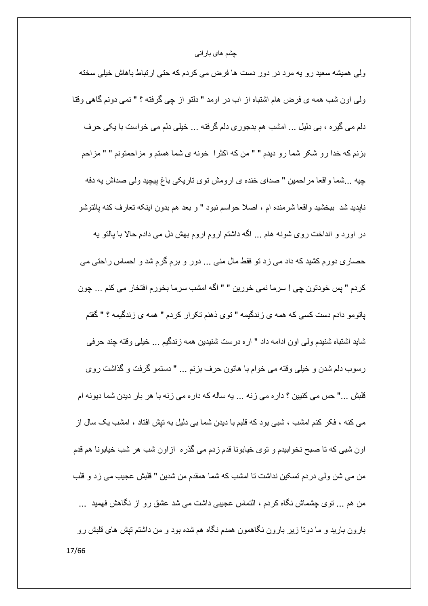ولی همیشه سعید رو یه مرد در دور دست ها فرض می کردم که حتی ارتباط باهاش خیلی سخته ولَّى اون شب همه ي فرض هام اشتباه از اب در اومد " دلتو از چي گرفته ؟ " نمي دونم گاهي وقتا دلم می گیره ، بی دلیل ... امشب هم بدجوری دلم گرفته ... خیلی دلم می خواست با یکی حرف بزنم كه خدا رو شكر شما رو ديدم " " من كه اكثر ا خونه ي شما هستم و مزاحمتونم " " مزاحم چيه ...شما واقعا مراحمين " صداي خنده ي ارومش توي تاريكي باغ پيچيد ولي صداش يه دفه نايديد شد ببخشيد واقعا شرمنده ام ، اصلا حواسم نبود " و بعد هم بدون اينكه تعارف كنه پالتوشو در اورد و انداخت روی شونه هام ... اگه داشتم اروم اروم بهش دل می دادم حالا با پالتو به حصـاری دورم کشید کـه داد مـی زد تو فقط مـال منـی … دور و برم گرم شد و احساس راحتـی مـی كردم " پس خودتون چي ! سرما نمي خورين " " اگه امشب سرما بخورم افتخار مي كنم ... جون باتومو دادم دست کسی که همه ی ز ندگیمه " تو ی ذهنم تکر ار کر دم " همه ی ز ندگیمه ؟ " گفتم شايد اشتباه شنيدم ولي اون ادامه داد " ار ه در ست شنيدين همه ز ندگيم ... خيلي وقته جند حر في رسوب دلم شدن و خیلبی وقته می خوام با هاتون حرف بزنم ... " دستمو گرفت و گذاشت روی قلبش …" حس می کنبین ؟ دار ه می زنه … یه ساله که دار ه می زنه با هر بار دیدن شما دیونه ام می کنه ، فکر کنم امشب ، شبی بود که قلبم با دیدن شما بی دلیل به تپش افتاد ، امشب یک سال از اون شبی که تا صبح نخوابیدم و توی خیابونا قدم زدم می گذره از اون شب هر شب خیابونا هم قدم من مے شن ولی در دم تسکین نداشت تا امشب که شما همقدم من شدین " قلبش عجیب می ز د و قلب من هم … توى چشماش نگاه كردم ، التماس عجيبي داشت مى شد عشق رو از نگاهش فهميد … بارون بارید و ما دوتا زیر بارون نگاهمون همدم نگاه هم شده بود و من داشتم تیش های قلبش رو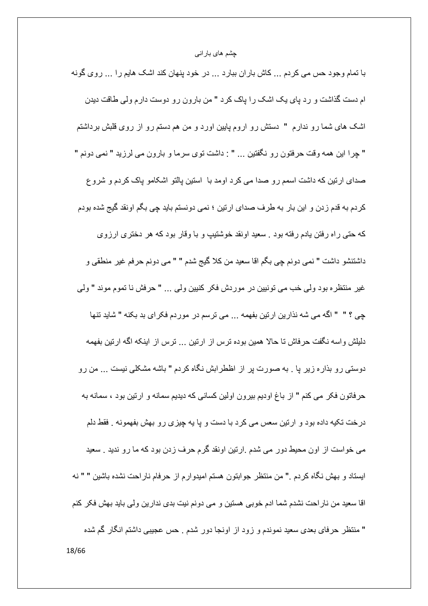با تمام وجود حس می کردم ... کاش باران ببارد ... در خود پنهان کند اشک هایم را ... روی گونه ام دست گذاشت و رد پای یک اشک را پاک کرد " من بارون رو دوست دارم ولی طاقت دیدن اشک های شما رو ندارم " دستش رو اروم پایین اورد و من هم دستم رو از روی قلبش برداشتم " چرا این همه وقت حرفتون رو نگفتین ... " : داشت توی سرما و بارون می لرزید " نمی دونم " صدای ارتین که داشت اسمم رو صدا می کرد اومد با استین پالتو اشکامو پاک کردم و شروع كردم به قدم زدن و اين بار به طرف صداي ارتين ؛ نمي دونستم بايد چي بگم اونقد گيج شده بودم که حتی راه رفتن یادم رفته بود . سعید اونقد خوشتیپ و با وقار بود که هر دختری ارزوی داشتنشو داشت " نمي دونم چي بگم اقا سعيد من كلا گيج شدم " " مي دونم حرفم غير منطقي و غير منتظره بود ولي خب مي تونيين در موردش فكر كنيين ولي ... " حرفش نا تموم موند " ولي جي ؟ " " الكه مي شه نذارين ارتين بفهمه ... مي ترسم در موردم فكراي بد بكنه " شايد تنها دلیلش واسه نگفت حرفاش تا حالا همین بوده ترس از ارتین … ترس از اینکه اگه ارتین بفهمه دوستی رو بذاره زیر پا ِ به صورت پر از اظطرابش نگاه کردم " باشه مشکلی نیست ... من رو حرفاتون فكر مي كنم " از باغ اوديم بيرون اولين كساني كه ديديم سمانه و ارتين بود ، سمانه به درخت تکیه داده بود و ارتین سعس می کرد با دست و پا یه چیزی رو بهش بفهمونه . فقط دلم می خواست از اون محیط دور می شدم .ارتین اونقد گرم حرف زدن بود که ما رو ندید . سعید ايستاد و بهش نگاه كردم ." من منتظر جوابتون هستم اميدوارم از حرفام ناراحت نشده باشين " " نه اقا سعید من ناراحت نشدم شما ادم خوبی هستین و می دونم نیت بدی ندارین ولی باید بهش فکر کنم " منتظر حرفاي بعدي سعيد نموندم و زود از اونجا دور شدم . حس عجيبي داشتم انگار گم شده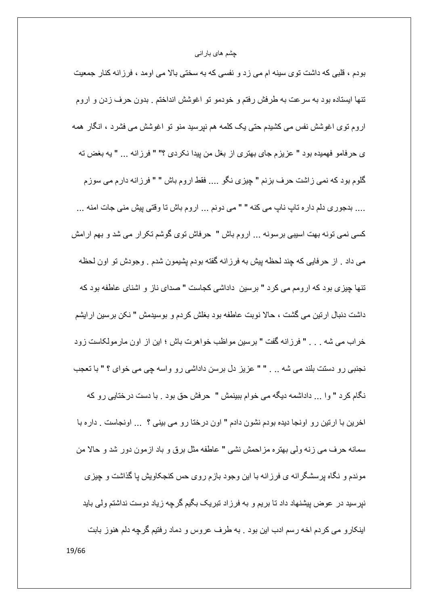بودم ، قلبی که داشت توی سینه ام می زد و نفسی که به سختی بالا می اومد ، فرزانه کنار جمعیت تنها ایستاده بود به سرعت به طرفش رفتم و خودمو تو اغوشش انداختم . بدون حرف زدن و اروم اروم توی اغوشش نفس می کشیدم حتی یک کلمه هم نیرسید منو تو اغوشش می فشرد ، انگار همه ى حرفامو فهميده بود " عزيزم جاي بهتري از بغل من پيدا نكردي ؟" " فرزانه ... " يه بغض نه گلوم بود كه نمي زاشت حرف بزنم " چيزي نگو .... فقط اروم باش " " فرزانه دارم مي سوزم .... بدجوري دلم داره تاب نابٍ مي كنه " " مي دونم ... اروم باش تا وفتي بيش مني جات امنه ... کسی نمی تونه بهت اسیبی برسونه … اروم باش " حرفاش توی گوشم تکرار می شد و بهم ارامش می داد . از حرفایی که چند لحظه پیش به فرزانه گفته بودم پشیمون شدم . وجودش تو اون لحظه تنها جبز ی بود که ار ومم می کر د " بر سبن ِ داداشی کجاست " صدای ناز و اشنای عاطفه بود که داشت دنبال ارتین می گشت ، حالا نوبت عاطفه بود بغلش کردم و بوسیدمش " نکن برسین ارایشم خراب می شه . . . " فرزانه گفت " برسین مواظب خواهرت باش ؛ این از اون مار مولکاست زود نجنبی رو دستت بلند می شه .. . " " عزیز دل برسن داداشی رو واسه چی می خوای ؟ " با تعجب نگام کرد " وا ... داداشمه دیگه می خوام ببینمش " حرفش حق بود . با دست درختایی رو که اخرین با ارتین رو اونجا دیده بودم نشون دادم " اون درختا رو می بینی ؟ … اونجاست . داره با سمانه حرف مي زنه ولي بهتره مزاحمش نشي " عاطفه مثل برق و باد ازمون دور شد و حالا من موندم و نگاه برسشگرانه ی فرزانه با این وجود بازم روی حس کنجکاویش یا گذاشت و چیزی نیرسید در عوض پیشنهاد داد تا بریم و به فرزاد تبریک بگیم گرچه زیاد دوست نداشتم ولی باید اینکار و می کردم اخه رسم ادب این بود . به طرف عروس و دماد رفتیم گرچه دلم هنوز بابت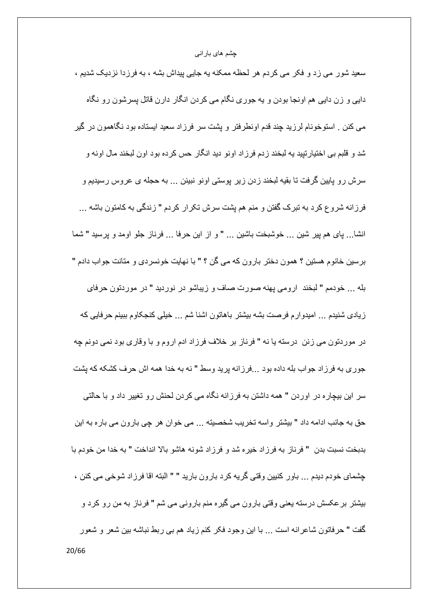سعید شور می زد و فکر می کردم هر لحظه ممکنه یه جایی پیداش بشه ، به فرزدا نزدیک شدیم ، دایی و زن دایی هم اونجا بودن و یه جوری نگام می کردن انگار دارن قاتل پسرشون رو نگاه مبی کنن . استوخونام لرزید چند قدم اونطرفتر و پشت سر فرزاد سعید ایستاده بود نگاهمون در گیر شد و قلبم بي اختيار تبيد په لبخند ز دم فر ز اد اونو ٍ ديد انگار حس كر ده بود او ن لبخند مال او نه و سرش رو پایین گرفت تا بقیه لبخند زدن زیر پوستی اونو نبینن … به حجله ی عروس رسیدیم و فرزانه شروع كرد به تبرك گفتن و منم هم يِشت سرش تكرار كردم " زندگي به كامتون باشه ... انشا… پای هم پیر شین … خوشبخت باشین … " و از این حرفا … فرناز جلو اومد و پرسید " شما برسین خانوم هستین ؟ همون دختر بارون که می گن ؟ " با نهایت خونسردی و متانت جواب دادم " بله ... خودمم " لبخند ارومي پهنه صورت صاف و زيباشو در نورديد " در موردتون حرفاي زيادي شنيدم ... اميدوارم فرصت بشه بيشتر باهاتون اشنا شم ... خيلي كنجكاوم ببينم حرفايي كه در موردتون می زنن درسته یا نه " فرناز بر خلاف فرزاد ادم اروم و با وقاری بود نمی دونم چه جوري به فرزاد جواب بله داده بود ...فرزانه پريد وسط " نه به خدا همه اش حرف كشكه كه يشت سر این بیچاره در اوردن " همه داشتن به فرزانه نگاه می کردن لحنش رو تغییر داد و با حالتی حق به جانب ادامه داد " بیشتر واسه تخریب شخصیته ... می خوان هر چی بارون می باره به این بدبخت نسبت بدن " فرناز به فرزاد خيره شد و فرزاد شونه هاشو بالا انداخت " به خدا من خودم با چشمای خودم دیدم ... باور کنیین وقتی گریه کرد بارون بارید " " البته اقا فر ز اد شوخی می کنن ، بیثنتر برعکسش درسته یعنی وقتی بارون می گیره منم بارونی می شم " فرناز به من رو کرد و گفت " حرفاتون شاعرانه است ... با این وجود فکر کنم زیاد هم بی ربط نباشه بین شعر و شعور 20/66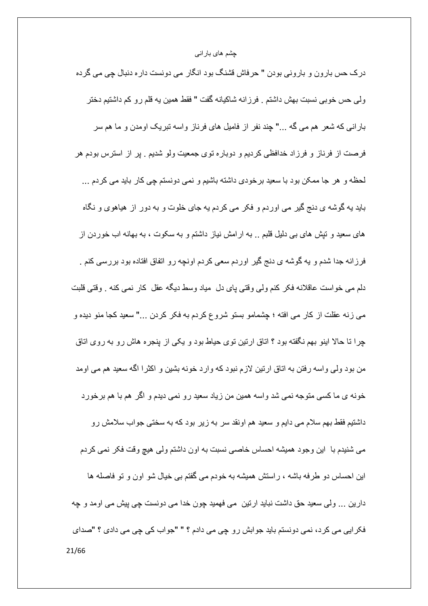درک حس بارون و بارونی بودن " حرفاش قشنگ بود انگار می دونست داره دنبال چی می گرده ولي حس خوبي نسبت بهش داشتم . فرزانه شاكيانه گفت " فقط همين يه قلم رو كم داشتيم دختر بارانی که شعر هم می گه ..." چند نفر از فامیل های فرناز واسه تبریک اومدن و ما هم سر فرصت از فرناز و فرزاد خدافظی کردیم و دوباره توی جمعیت ولو شدیم . پر از استرس بودم هر لحظه و هر جا ممکن بود با سعید برخودی داشته باشیم و نمی دونستم چی کار باید می کردم … باید یه گوشه ی دنج گیر می اوردم و فکر می کردم یه جای خلوت و به دور از هیاهوی و نگاه های سعید و تپش های ببی دلیل قلبم .. به ارامش نیاز داشتم و به سکوت ، به بهانه اب خوردن از فرزانه جدا شدم و یه گوشه ی دنج گیر اوردم سعی کردم اونچه رو اتفاق افتاده بود بررسی کنم . دلم می خواست عاقلانه فکر کنم ولی وقتی بای دل ً میاد وسط دیگه عقل کار نمی کنه . وقتی قلبت مبي زنه عقلت از كار مبي افته ؛ چشمامو بستو شروع كردم به فكر كردن …" سعيد كجا منو ديده و چرا نا حالا اینو بهم نگفته بود ؟ اناق ارتین نوی حیاط بود و یکی از پنجره هاش رو به روی اناق من بود ولی واسه رفتن به اتاق ارتین لازم نبود که وارد خونه بشین و اکثرا اگه سعید هم می اومد خونه ی ما کسی متوجه نمی شد واسه همین من زیاد سعید رو نمی دیدم و اگر هم با هم برخورد داشتیم فقط بهم سلام می دایم و سعید هم اونقد سر به زیر بود که به سختی جواب سلامش رو می شنیدم با این وجود همیشه احساس خاصبی نسبت به اون داشتم ولی هیچ وقت فکر نمی کردم این احساس دو طرفه باشه ، راستش همیشه به خودم می گفتم بی خیال شو اون و تو فاصله ها دارین … ولی سعید حق داشت نباید ارتین می فهمید چون خدا می دونست چی پیش می اومد و چه فكرايي مي كرد، نمي دونستم بايد جوابش رو چي مي دادم ؟ " "جواب كي چي مي دادي ؟ "صداي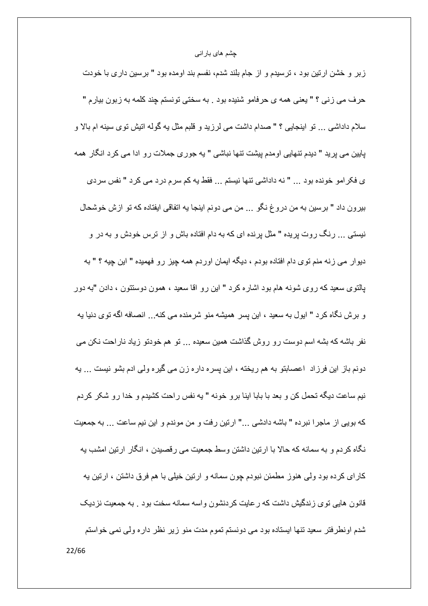زبر و خشن ارتین بود ، ترسیدم و از جام بلند شدم، نفسم بند اومده بود " برسین داری با خودت حرف مي زني ؟ " يعني همه ي حرفامو شنيده بود . به سختي تونستم چند كلمه به زبون بيارم " سلام داداشی ... نو اینجایی ؟ " صدام داشت می لرزید و قلبم مثل به گوله انیش نوی سینه ام بالا و پایین می پرید " دیدم تنهایی اومدم پیشت تنها نباشی " به جوری جملات رو ادا می کرد انگار همه ى فكرامو خونده بود ... " نه داداشي نتها نيستم ... فقط يه كم سرم درد مي كرد " نفس سردى بيرون داد " برسين به من دروغ نگو ... من مي دونم اينجا يه اتفاقي ايفتاده كه تو ازش خوشحال نیستی … رنگ روت پریده " مثل پرنده ای که به دام افتاده باش و از ترس خودش و به در و دیوار می زنه منم توی دام افتاده بودم ، دیگه ایمان اوردم همه چیز رو فهمیده " این چیه ؟ " به بالتوی سعید که ر وی شونه هام بود اشار ه کر د " این ر و اقا سعید ، همون دوستتون ، دادن "به دور و بر ش نگاه کرد " ایول به سعید ، این پسر همیشه منو شرمنده می کنه... انصافه اگه توی دنیا به نفر باشه که بشه اسم دوست رو روش گذاشت همین سعیده … تو هم خودتو زیاد ناراحت نکن می دونم باز این فرزاد اعصابتو به هم ریخته ، این پسره داره زن می گیره ولی ادم بشو نیست … یه نیم ساعت دیگه تحمل کن و بعد با بابا اینا برو خونه " یه نفس راحت کشیدم و خدا رو شکر کردم كه بويي از ماجرا نبرده " باشه دادشي ..." ارتين رفت و من موندم و اين نيم ساعت ... به جمعيت نگاه کردم و به سمانه که حالا با ارتین داشتن وسط جمعیت می رقصیدن ، انگار ارتین امشب به کارای کرده بود ولی هنوز مطمئن نبودم چون سمانه و ارتین خیلی با هم فرق داشتن ، ارتین یه قانون هایی توی زندگیش داشت که رعایت کردنشون واسه سمانه سخت بود . به جمعیت نزدیک شدم اونطرفتر سعید تنها ایستاده بود می دونستم تموم مدت منو زیر نظر داره ولی نمی خواستم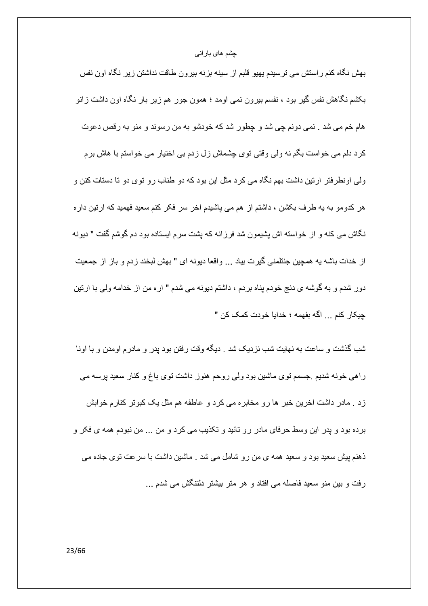بهش نگاه کنم راستش می ترسیدم یهیو قلبم از سینه بزنه بیرون طاقت نداشتن زیر نگاه اون نفس بکشم نگاهش نفس گیر بود ، نفسم بیرون نمی اومد ؛ همون جور هم زیر بار نگاه اون داشت زانو هام خم مي شد . نمي دونم چي شد و چطور شد كه خودشو به من رسوند و منو به رقص دعوت كرد دلم مي خواست بگم نه ولي وقتي توي چشماش زل زدم بي اختيار مي خواستم با هاش برم ولی اونطرفتر ارتین داشت بهم نگاه می کرد مثل این بود که دو طناب رو توی دو تا دستات کنن و هر کدومو به یه طرف بکشن ، داشتم از هم می پاشیدم اخر سر فکر کنم سعید فهمید که ارتین دار ه نگاش می کنه و از خواسته اش پشیمون شد فرزانه که پشت سرم ایستاده بود دم گوشم گفت " دیونه از خدات باشه به همچین جنتلمنی گیرت بیاد ... واقعا دیونه ای " بهش لبخند زدم و باز از جمعیت دور شدم و به گوشه ي دنج خودم بناه بردم ، داشتم ديونه مي شدم " اره من از خدامه ولي با ارتين جيكار كنم ... اگه بفهمه ؛ خدايا خو دت كمك كن "

شب گذشت و ساعت به نهایت شب نزدیک شد . دیگه وقت رفتن بود بدر و مادرم اومدن و با اونا راهی خونه شدیم .جسمم توی ماشین بود ولی روحم هنوز داشت توی باغ و کنار سعید پرسه می زد . مادر داشت اخرین خبر ها رو مخابره می کرد و عاطفه هم مثل یک کبوتر کنارم خوابش برده بود و پدر این وسط حرفای مادر رو تائید و تکذیب می کرد و من ... من نبودم همه ی فکر و ذهنم پیش سعید بود و سعید همه ی من رو شامل می شد . ماشین داشت با سرعت توی جاده می رفت و بین منو سعید فاصله می افتاد و هر متر بیشتر دلتنگش می شدم ...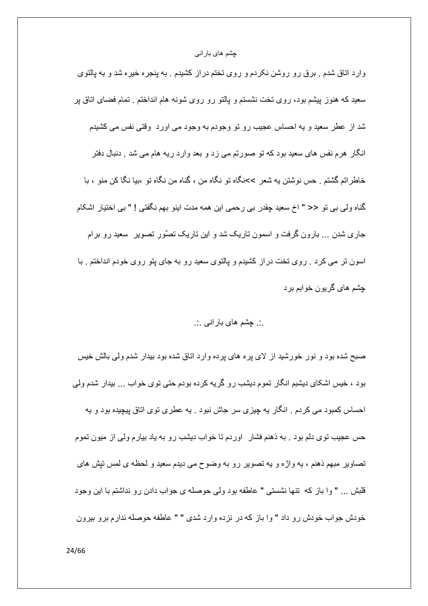وارد اتاق شدم . برق رو روشن نکردم و روی تختم دراز کشیدم . به پنجره خیره شد و به پالتوی سعید که هنوز بیشم بود، روی تخت نشستم و پالتو رو روی شونه هام انداختم . تمام فضای اتاق بر شد از عطر سعید و یه احساس عجیب رو تو وجودم به وجود می اورد ۖ وقتی نفس می کشیدم انگار هرم نفس های سعید بود که تو صورتم می زد و بعد وارد ریه هام می شد . دنبال دفتر خاطراتم گشتم . حس نوشتن به شعر >>نگاه تو نگاه من ، گناه من نگاه تو ،بيا نگا كن منو ، با گناه ولّي بي تو << " اخ سعيد چقدر بي رحمي اين همه مدت اينو بهم نگفتي ! " بي اختيار اشكام جاری شدن … بارون گرفت و اسمون تاریک شد و این تاریک تصُور تصویر ۖ سعید رو برام اسون تر می کرد <sub>.</sub> روی تخت دراز کشیدم و پالتوی سعید رو به جای پتو روی خودم انداختم <sub>.</sub> با جِشْم هاي گر يو ن خو ايم پر د

## .:. چشم های بارانبی .:.

صبح شده بود و نور خورشید از لای پره های پرده وارد اتاق شده بود بیدار شدم ولمی بالش خیس بود ، خیس اشکای دیشبم انگار تموم دیشب رو گریه کرده بودم حتی توی خواب ... بیدار شدم ولمی احساس کمبود می کردم <sub>.</sub> انگار به چیزی سر جاش نبود <sub>.</sub> به عطری نوی اتاق پیچیده بود و به حس عجیب توی دلم بود . به ذهنم فشار اوردم تا خواب دیشب رو به یاد بیارم ولمی از میون تموم تصاویر مبهم ذهنم ، یه واژه و یه تصویر رو به وضوح می دیدم سعید و لحظه ی لمس تیش های قلبش … " وا باز كه تنها نشستى " عاطفه بود ولى حوصله ى جواب دادن رو نداشتم با اين وجود خودش جواب خودش رو داد " وا باز که در نزده وارد شدی " " عاطفه حوصله ندارم برو بیرون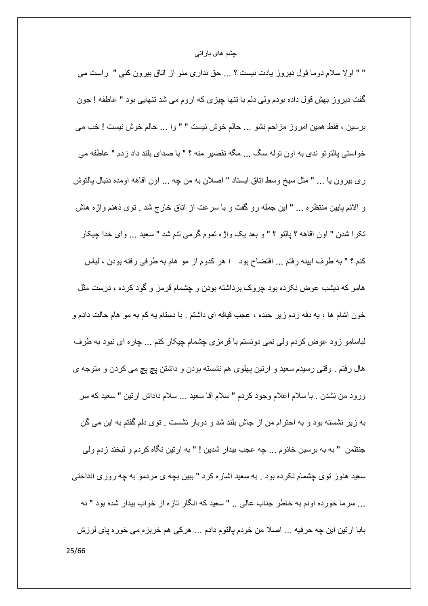" " اولا سلام دوما قول دیروز یادت نیست ؟ ... حق نداری منو از اتاق بیرون کنی " راست می گفت دیروز بهش قول داده بودم ولمي دلم با تنها چیزي كه اروم مي شد تنهايي بود " عاطفه ! جون برسين ، فقط همين امروز مزاحم نشو ... حالم خوش نيست " " وا ... حالم خوش نيست ! خب مي خواستي بالنَّونو ندي به اون نوله سگ ... مگه تقصير ٍ منه ؟ " با صداي بلند داد ز دم " عاطفه مي ري بيرون يا ... " مثل سيخ وسط اتاق ايستاد " اصلان به من چه ... اون اقاهه اومده دنبال پالتوش و الانم پایین منتظره … " این جمله رو گفت و با سرعت از اناق خارج شد . توی ذهنم واژه هاش تكرا شدن " اون اقاهه ؟ بِالتو ؟ " و بعد يك واژه تموم گرمي تنم شد " سعيد ... واي خدا چيكار كنم ؟ " به طرف ابينه رفتم ... افتضاح بود ؛ هر كدوم از مو هام به طرفي رفته بودن ، لباس هامو که دیشب عوض نکرده بود چروک برداشته بودن و چشمام قرمز و گود کرده ، درست مثل خون اشام ها ، به دفه زدم زیر خنده ، عجب قیافه ای داشتم . با دستام به کم به مو هام حالت دادم و لباسامو زود عوض كردم ولي نمي دونستم با قرمزي چشمام چيكار كنم ... چاره اي نبود به طرف هال رفتم . وقتبي رسيدم سعيد و ارتين پهلوي هم نشسته بودن و داشتن پچ پچ مبي كردن و متوجه ي ورود من نشدن . با سلام اعلام وجود كردم " سلام اقا سعيد ... سلام داداش ارتين " سعيد كه سر به زیر نشسته بود و به احترام من از جاش بلند شد و دوبار نشست . توی دلم گفتم به این می گن جنتلمن " به به بر سين خانوم ... چه عجب بيدار شدين ! " به ار تين نگاه كر دم و لبخند ز دم ولي سعید هنوز توی چشمام نکرده بود . به سعید اشاره کرد " ببین بچه ی مردمو به چه روزی انداختی ... سرما خورده اونم به خاطر جناب عالمي .. " سعيد كه انگار تازه از خواب بيدار شده بود " نه بابا ارتين ابن چه حرفيه ... اصلا من خودم پالتوم دادم ... هركي هم خربزه مي خوره پاي لرزش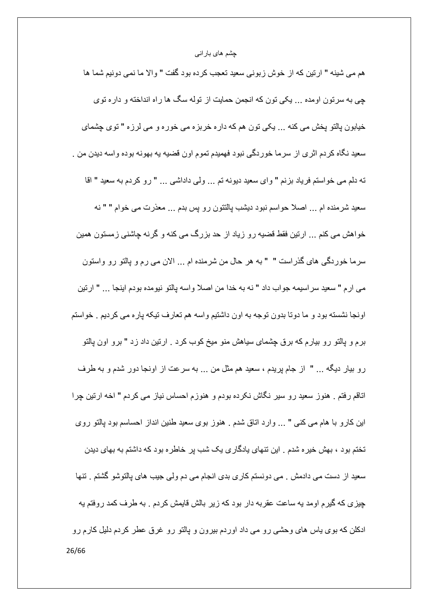هم مي شينه " ارتين كه از خوش زبوني سعيد تعجب كرده بود گفت " والا ما نمي دونيم شما ها چی به سرتون اومده ... یکی تون که انجمن حمایت از توله سگ ها راه انداخته و داره توی خيابون پالتو پخش مي كنه ... يكي تون هم كه داره خربزه مي خوره و مي لرزه " توي چشماي سعید نگاه کردم اثری از سرما خوردگی نبود فهمیدم تموم اون قضیه یه بهونه بوده واسه دیدن من . ته دلم می خواستم فریاد بزنم " وای سعید دیونه تم ... ولی داداشی ... " رو كردم به سعید " اقا سعید شرمنده ام ... اصلا حواسم نبود دیشب پالتتون رو پس بدم ... معذرت می خوام " " نه خواهش می کنم ... ارتین فقط قضیه رو زیاد از حد بزرگ می کنه و گرنه چاشنی زمستون همین سرما خوردگی های گذراست " " به هر حال من شرمنده ام ... الان می رم و پالتو رو واستون مي ار م " سعيد سر اسيمه جو اب داد " نه به خدا من اصلا و اسه بالتو نيو مده بو دم اينجا ... " ار تين اونجا نشسته بود و ما دوتا بدون توجه به اون داشتیم واسه هم تعارف تیکه پاره می کردیم . خواستم برم و پالتو رو بیارم که برق چشمای سیاهش منو میخ کوب کرد . ارتین داد زد " برو اون پالتو رو بیار دیگه ... " از جام پریدم ، سعید هم مثل من ... به سرعت از اونجا دور شدم و به طرف اتاقم رفتم . هنوز سعید رو سیر نگاش نکرده بودم و هنوزم احساس نیاز می کردم " اخه ارتین چرا این کارو با هام می کنی " … وارد اناق شدم . هنوز بوی سعید طنین انداز احساسم بود پالتو روی تختم بود ، بهش خیر ه شدم . این تنهای پادگاری یک شب پر خاطر ه بود که داشتم به بهای دیدن سعيد از دست مي دادمش . مي دونستم كاري بدي انجام مي دم ولي جيب هاي بالتوشو گشتم . تنها چیزی که گیرم اومد یه ساعت عقربه دار بود که زیر بالش قایمش کردم . به طرف کمد روفتم یه ادکلن که بوی پاس های وحشَّی رو می داد اوردم بیرون و پالتو رو غرق عطر کردم دلیل کارم رو 26/66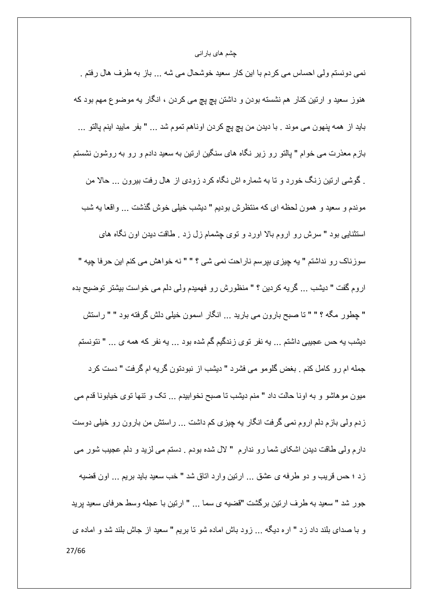نمی دونستم ولی احساس می کردم با این کار سعید خوشحال می شه … باز به طرف هال رفتم . هنوز سعید و ارتین کنار هم نشسته بودن و داشتن پچ پچ می کردن ، انگار به موضوع مهم بود که بايد از همه پنهون مي موند <sub>.</sub> با ديدن من پچ پچ كردن اوناهم تموم شد ... " بفر ماييد اينم پالتو ... بازم معذرت می خوام " بالتو رو زیر نگاه های سنگین ارتین به سعید دادم و رو به روشون نشستم . گوشی ارتین زنگ خورد و تا به شماره اش نگاه کرد زودی از هال رفت بیرون ... حالا من موندم و سعید و همون لحظه ای که منتظرش بودیم " دیشب خیلی خوش گذشت ... واقعا یه شب استثنایی بود " سرش رو اروم بالا اورد و نوی چشمام زل زد . طاقت دیدن اون نگاه های سوزناک رو نداشتم " به چیزی بپرسم ناراحت نمی شی ؟ " " نه خواهش می کنم این حرفا چیه " اروم گفت " دیشب ... گریه کردین ؟ " منظورش رو فهمیدم ولی دلم می خواست بیشتر توضیح بده " چطور مگه ؟ " " تا صبح بارون می بارید ... انگار اسمون خیلی دلش گرفته بود " " راستش دیشب یه حس عجیبی داشتم ... یه نفر توی زندگیم گم شده بود ... یه نفر که همه ی ... " نتونستم جمله ام رو كامل كنم . بغض گلومو مى فشرد " ديشب از نبودتون گريه ام گرفت " دست كرد میون موهاشو و به اونا حالت داد " منم دیشب نا صبح نخوابیدم … تک و تنها توی خیابونا قدم می زدم ولمی بازم دلم اروم نمی گرفت انگار به چیزی کم داشت … راستش من بارون رو خیلی دوست دارم ولَّى طاقت ديدن اشكاى شما رو ندارم " لأل شده بودم . دستم مى لزيد و دلم عجيب شور مى زد ؛ حس قريب و دو طرفه ي عشق ... ارتين وارد اتاق شد " خب سعيد بايد بريم ... اون قضيه جور شد " سعيد به طرف ارتين برگشت "قضيه ي سما ... " ارتين با عجله وسط حرفاي سعيد پريد و با صدای بلند داد زد " اره دیگه … زود باش اماده شو تا بریم " سعید از جاش بلند شد و اماده ی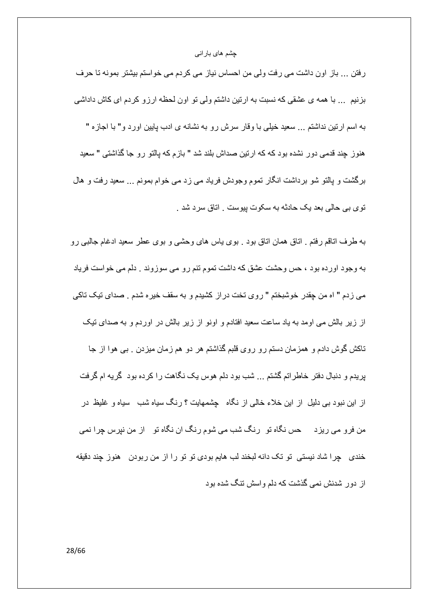رفتن … باز اون داشت می رفت ولی من احساس نیاز می کردم می خواستم بیشتر بمونه تا حرف بزنیم ... با همه ی عشقی که نسبت به ارتین داشتم ولی تو اون لحظه ارزو کردم ای کاش داداشی به اسم ارتین نداشتم ... سعید خیلی با وقار سرش رو به نشانه ی ادب پایین اورد و" با اجازه " هنوز چند قدمی دور نشده بود که که ارتین صداش بلند شد " باز م که بالتو رو جا گذاشتی " سعید برگشت و پالتو شو برداشت انگار تموم وجودش فریاد می زد می خوام بمونم … سعید رفت و هال توي بي حالي بعد يک حادثه به سکوت پيوست . اتاق سرد شد .

به طرف اناقع رفتم <sub>-</sub> اناق همان اناق بود <sub>-</sub> بوى باس هاى وحشى و بوى عطر سعيد ادغام جالبى رو به وجود اورده بود ، حس وحشت عشق که داشت تموم تنم رو می سوزوند . دلم می خواست فریاد مي زدم " اه من چقدر خوشبختم " روي تخت دراز كشيدم و به سقف خيره شدم . صداي تيك تاكي از زیر بالش می اومد به یاد ساعت سعید افتادم و اونو از زیر بالش در اوردم و به صدای تیک ناکش گوش دادم و همزمان دستم رو روی قلبم گذاشتم هر دو هم زمان میزدن . ببی هوا از جا پریدم و دنبال دفتر خاطراتم گشتم ... شب بود دلم هوس یک نگاهت را کرده بود گریه ام گرفت از این نبود بی دلیل از این خلاء خالی از نگاه چشمهایت ؟ رنگ سیاه شب سیاه و غلیظ در من فرو می ریزد ۔ حس نگاه تو رنگ شب می شوم رنگ ان نگاه تو از من نپرس چرا نمی خندی چرا شاد نیستی تو تک دانه لبخند لب هایم بودی تو تو را از من ربودن هنوز چند دقیقه از دور شدنش نمی گذشت که دلم واسش تنگ شده بود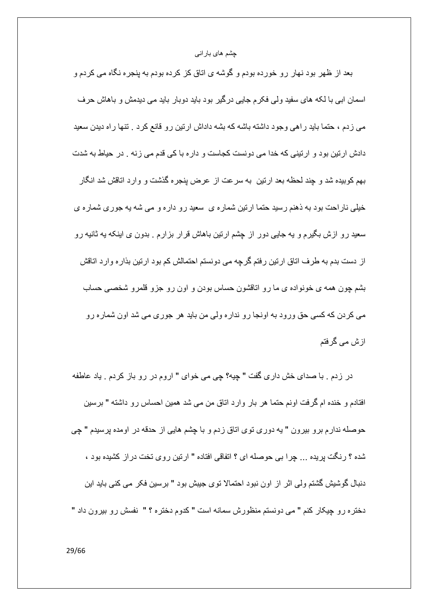بعد از ظهر بود نهار رو خورده بودم و گوشه ي اتاق كز كرده بودم به پنجره نگاه مي كردم و اسمان ابی با لکه های سفید ولی فکرم جایی درگیر بود باید دوبار باید می دیدمش و باهاش حرف می زدم ، حتما باید راهی وجود داشته باشه که بشه داداش ارتین رو قانع کرد . تنها راه دیدن سعید دادش ارتین بود و ارتینی که خدا می دونست کجاست و داره با کی قدم می زنه . در حیاط به شدت بهم كوبيده شد و چند لحظه بعد ارتين به سرعت از عرض پنجره گذشت و وارد اتاقش شد انگار خیلی ناراحت بود به ذهنم رسید حتما ارتین شماره ی سعید رو داره و می شه یه جوری شماره ی سعید رو ازش بگیرم و یه جایی دور از چشم ارتین باهاش قرار بزارم <sub>.</sub> بدون ی اینکه یه ثانیه رو از دست بدم به طرف اتاق ارتین رفتم گرچه می دونستم احتمالش کم بود ارتین بذاره وارد اتاقش بشم چون همه ی خونواده ی ما رو اناقشون حساس بودن و اون رو جزو قلمرو شخصبی حساب مي كردن كه كسي حق ورود به اونجا رو نداره ولي من بايد هر جوري مي شد اون شماره رو از ش می گرفتم

در زدم . با صداي خش داري گفت " چيه؟ چي مي خواي " اروم در رو باز كردم . ياد عاطفه افتادم و خنده ام گرفت اونم حتما هر بار وارد اتاق من می شد همین احساس رو داشته " برسین حوصله ندارم برو بیرون " یه دوری توی اتاق زدم و با چشم هایی از حدقه در اومده پرسیدم " چی شده ؟ رنگت پريده ... چرا بي حوصله اي ؟ اتفاقي افتاده " ارتين روي تخت دراز كشيده بود ، دنبال گوشیش گشتم ولی اثر از اون نبود احتمالا توی جیبش بود " برسین فکر می کنی باید این دختر ه ر و جيکار کنم " مي دونستم منظور ش سمانه است " کدوم دختر ه ؟ " نفسش ر و بير ون داد "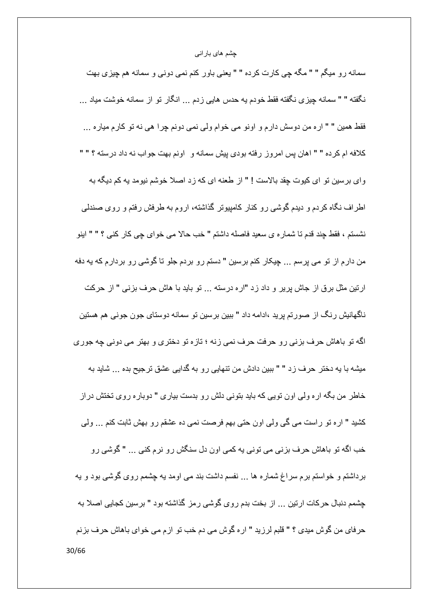سمانه رو میگم " " مگه چی کارت کرده " " یعنی باور کنم نمی دونی و سمانه هم چیزی بهت نگفته " " سمانه چیزی نگفته فقط خودم یه حدس هایی زدم ... انگار نو از سمانه خوشت میاد ... فقط همين " " اره من دوسش دارم و اونو مي خوام ولي نمي دونم چرا هي نه تو كارم مياره ... كلافه ام كرده " " اهان پس امروز رفته بودي پيش سمانه و اونم بهت جواب نه داد درسته ؟ " " وای برسین تو ای کیوت چقد بالاست ! " از طعنه ای که زد اصلا خوشم نیومد به کم دیگه به اطراف نگاه کردم و دیدم گوشی رو کنار کامپیوتر گذاشته، اروم به طرفش رفتم و روی صندلی نشستم ، فقط چند قدم تا شمار ، ي سعيد فاصله داشتم " خب حالا مي خواي چي كار كني ؟ " " اينو من دارم از تو می پرسم ... چیکار کنم برسین " دستم رو بردم جلو تا گوشی رو بردارم که یه دفه ار تین مثل بر ق از جاش بر بر و داد ز د "ار ه در سته ... تو باید با هاش حرف بز نبی " از حرکت ناگهانیش رنگ از صورتم پرید ،ادامه داد " ببین برسین تو سمانه دوستای جون جونی هم هستین اگه تو باهاش حرف بزنی رو حرفت حرف نمی زنه ؛ تازه تو دختری و بهتر می دونی چه جوری میشه با یه دختر حرف زد " " ببین دادش من ننهایی رو به گدایی عشق ترجیح بده ... شاید به خاطر من بگه ار ه ولی اون تویی که باید بتونی دلش رو بدست بیاری " دوباره روی تختش دراز كشيد " اره تو راست مى گى ولى اون حتى بهم فرصت نمى ده عشقم رو بهش ثابت كنم ... ولى خب اگه تو باهاش حرف بزنی می تونی یه کمی اون دل سنگش رو نرم کنی ... " گوشی رو برداشتم و خواستم برم سراغ شماره ها ... نفسم داشت بند می اومد به چشمم روی گوشی بود و به چشمم دنبال حرکات ارتین ... از بخت بدم روی گوشی رمز گذاشته بود " برسین کجایی اصلا به حرفاي من گوش ميدي ؟ " قلبم لرزيد " اره گوش مي دم خب تو ازم مي خواي باهاش حرف بزنم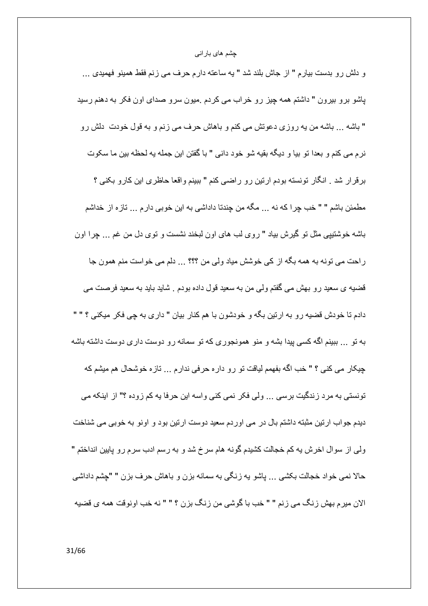و دلش رو بدست بیارم " از جاش بلند شد " یه ساعته دارم حرف می زنم فقط همینو فهمیدی ... پاشو برو بیرون " داشتم همه چیز رو خراب می کردم .میون سرو صدای اون فکر به دهنم رسید " باشه … باشه من يه روزي دعوتش مي كنم و باهاش حرف مي زنم و به قول خودت دلش رو " نر ۾ مي کنم و بعدا تو بيا و ديگه بقيه شو خو د داني " با گفتن اين جمله په لحظه بين ما سکوت برقرار شد . انگار تونسته بودم ارتین رو راضی کنم " ببینم واقعا حاظری این کارو بکنی ؟ مطمئن باشم " " خب چرا كه نه ... مگه من چندتا داداشي به اين خوبي دارم ... تازه از خداشم باشه خوشتیپی مثل تو گیرش بیاد " روی لب های اون لبخند نشست و توی دل من غم ... چرا اون راحت می تونه به همه بگه از کی خوشش میاد ولی من ؟؟؟ ... دلم می خواست منم همون جا قضیه ی سعید رو بهش می گفتم ولی من به سعید قول داده بودم . شاید باید به سعید فرصت می دادم تا خودش قضيه رو به ارتين بگه و خودشون با هم كنار بيان " داري به جي فكر ميكني ؟ " " به تو … ببینم اگه کسی بیدا بشه و منو همونجوری که تو سمانه رو دوست داری دوست داشته باشه چیکار می کنی ؟ " خب اگه بفهمم لیاقت تو رو داره حرفی ندارم ... تازه خوشحال هم میشم که تونستی به مرد زندگیت برسی … ولّی فکر نمی کنی واسه این حرفا یه کم زوده ؟" از اینکه می دیدم جواب ارتین مثبته داشتم بال در می اوردم سعید دوست ارتین بود و اونو به خوبی می شناخت ولِّي از سوال اخرش به كم خجالت كشيدم گونه هام سرخ شد و به رسم ادب سرم رو پايين انداختم " حالا نمي خواد خجالت بكشبي ... ياشو يه زنگي به سمانه بزن و باهاش حرف بزن " "چشم داداشي الان ميرم بهش زنگ مي زنم " " خب با گوشي من زنگ بزن ؟ " " نه خب اونوقت همه ي قضيه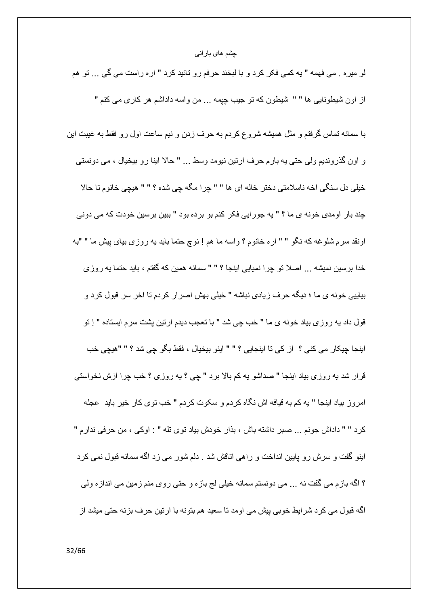لو میره . می فهمه " یه کمی فکر کرد و با لبخند حرفم رو تائید کرد " اره راست می گی … تو هم از اون شیطونایی ها " " شیطون که نو جیب چپمه ... من واسه داداشم هر کاری می کنم "

با سمانه تماس گرفتم و مثل همیشه شروع کردم به حرف زدن و نیم ساعت اول رو فقط به غیبت این و اون گذرونديم ولي حتي په بار محرف ارتين نيومد وسط ... " حالا اينا رو بيخيال ، مي دونستي خيلي دل سنگي اخه ناسلامتي دختر خاله اي ها " " جر ا مگه جي شده ؟ " " هيچي خانو م تا حالا چند بار اومدی خونه ی ما ؟ " یه جور ایی فکر کنم بو برده بود " ببین برسین خودت که می دونی اونقد سرم شلوغه كه نگو " " اره خانوم ؟ واسه ما هم ! نوچ حتما بايد يه روزي بياي پيش ما " "به خدا برسين نميشه ... اصلا تو چرا نميايي اينجا ؟ " " سمانه همين كه گفتم ، بايد حتما يه روزي بیاییی خونه ی ما ؛ دیگه حرف زیادی نباشه " خیلی بهش اصرار کردم تا اخر سر قبول کرد و قول داد يه روزي بياد خونه ي ما " خب چي شد " با تعجب ديدم ارتين پشت سرم ايستاده " اِ تو اينجا چيكار مي كني ؟ از كي تا اينجايي ؟ " " اينو بيخيال ، فقط بگو چي شد ؟ " "هيچي خب قرار شد يه روزي بياد اينجا " صداشو يه كم بالا برد " چي ؟ يه روزي ؟ خب چرا ازش نخواستي امروز بیاد اینجا " یه کم به قیافه اش نگاه کردم و سکوت کردم " خب توی کار خیر باید عجله كر د " " داداش جونم ... صبر ِ داشته باش ، بذار ِ خودش بياد توى تله " : اوكى ، من حرفى ندار م " اینو گفت و سرش رو پایین انداخت و راهی اتاقش شد . دلم شور می زد اگه سمانه قبول نمی کرد ؟ اگه بازم مي گفت نه ... مي دونستم سمانه خيلي لج بازه و حتي روي منم زمين مي اندازه ولي اگه قبول می کرد شرایط خوبی بیش می اومد نا سعید هم بنونه با ارتین حرف بزنه حتی میشد از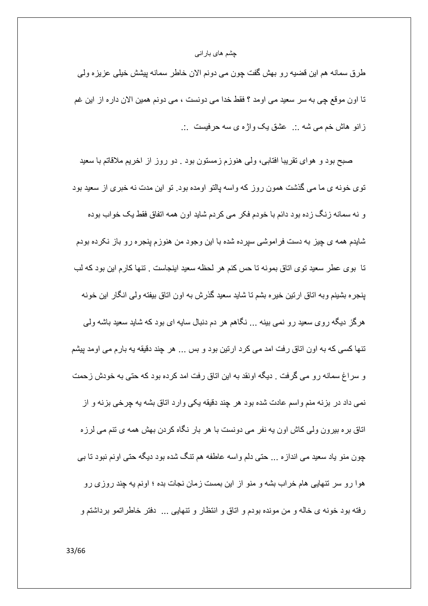طرق سمانه هم اين قضيه رو بهش گفت چون مي دونم الان خاطر سمانه پيشش خيلي عزيزه ولمي تا اون موقع چی به سر سعید می اومد ؟ فقط خدا می دونست ، می دونم همین الان داره از این غم زانو هاش خم می شه .. عشق یک واژه ی سه حرفیست ...

صبح بود و هواي نقريبا افتابي، ولي هنوزم زمستون بود . دو روز از اخريم ملاقاتم با سعيد توی خونه ی ما می گذشت همون روز که واسه پالتو اومده بود. تو این مدت نه خبری از سعید بود و نه سمانه زنگ زده بود دائم با خودم فکر می کردم شاید اون همه اتفاق فقط یک خواب بوده شایدم همه ی چیز به دست فراموشی سپرده شده با این وجود من هنوزم پنجره رو باز نکرده بودم تا بوي عطر سعيد توي اتاق بمونه تا حس كنم هر لحظه سعيد اينجاست . تنها كارم اين بود كه لب ينجره بشينم وبه اتاق ارتين خيره بشم تا شايد سعيد گذرش به اون اتاق بيفته ولمي انگار اين خونه هرگز دیگه روی سعید رو نمی بینه … نگاهم هر دم دنبال سایه ای بود که شاید سعید باشه ولمی تنها کسی که به اون اتاق رفت امد می کرد ارتین بود و بس ... هر چند دقیقه به بارم می اومد پیشم و سراغ سمانه رو می گرفت . دیگه اونقد به این اتاق رفت امد کرده بود که حتی به خودش زحمت نمي داد در بزنه منم واسم عادت شده بود هر چند دقيقه يكي وارد اتاق بشه يه چرخي بزنه و از اتاق بره بیرون ولی کاش اون یه نفر می دونست با هر بار نگاه کردن بهش همه ی تنم می لرزه چون منو یاد سعید می اندازه ... حتی دلم واسه عاطفه هم تنگ شده بود دیگه حتی اونم نبود تا بی هوا رو سر تنهایی هام خراب بشه و منو از این بمست زمان نجات بده ؛ اونم یه چند روزی رو رفته بود خونه ي خاله و من مونده بودم و اتاق و انتظار و تنهايي ... دفتر خاطراتمو برداشتم و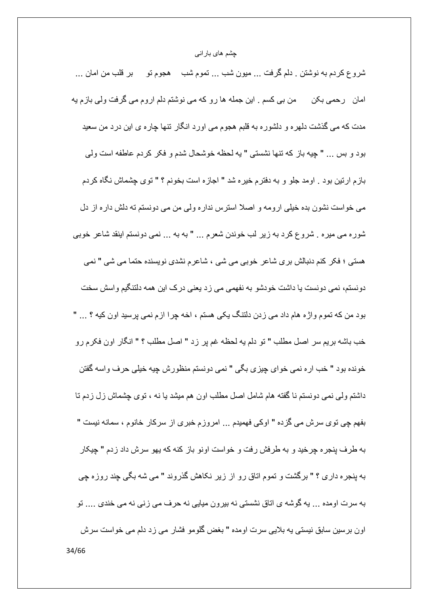شروع كردم به نوشتن . دلم گرفت ... ميون شب ... تموم شب \_ هجوم تو \_ بر قلب من امان ... امان رحمی بکن من بی کسم . این جمله ها رو که می نوشتم دلم اروم می گرفت ولی بازم یه مدت که می گذشت دلهره و دلشوره به قلبم هجوم می اورد انگار تنها چاره ی این درد من سعید بود و بس ... " چیه باز که نتها نشستی " یه لحظه خوشحال شدم و فکر کردم عاطفه است ولی بازم ارتین بود . اومد جلو و به دفترم خیره شد " اجازه است بخونم ؟ " توی چشماش نگاه کردم می خواست نشون بده خیلی ارومه و اصلا استرس نداره ولی من می دونستم ته دلش داره از دل شوره می میره . شروع کرد به زیر لب خوندن شعرم ... " به به ... نمی دونستم اینقد شاعر خوبی هستی ؛ فکر کنم دنبالش بری شاعر خوبی می شی ، شاعرم نشدی نویسنده حتما می شی " نمی دو نستم، نمی دو نست یا داشت خو دشو به نفهمی می ز د یعنی در ک این همه دلتنگیم و اسش سخت بود من كه تموم واژه هام داد مى زدن دلتنگ يكى هستم ، اخه چرا ازم نمى برسيد اون كيه ؟ ... " خب باشه بريم سر اصل مطلب " تو دلم يه لحظه غم پر زد " اصل مطلب ؟ " انگار اون فكرم رو خونده بود " خب اره نمي خواي چيزي بگي " نمي دونستم منظورش چيه خيلي حرف واسه گفتن داشتم ولَّـى نَمَّـى دونستم نـا گفتـه هام شامل اصـل مطلب اون هم ميشد يـا نـه ، توى چشماش زل زدم تـا بفهم چی توی سرش می گزده " اوکی فهمیدم ... امروزم خبری از سرکار خانوم ، سمانه نیست " به طرف پنجره چرخید و به طرفش رفت و خواست اونو باز کنه که بهو سرش داد زدم " چیکار به پنجره داری ؟ " برگشت و تموم اتاق رو از زیر نکاهش گذروند " می شه بگی چند روزه چی به سرت اومده ... به گوشه ي اتاق نشستي نه بيرون ميايي نه حرف مي زني نه مي خندي .... تو اون برسین سابق نیستی یه بلایی سرت اومده " بغض گلومو فشار می زد دلم می خواست سرش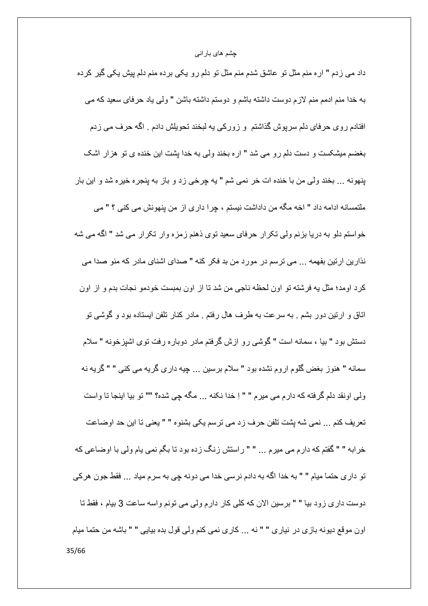داد می زدم " اره منم مثل تو عاشق شدم منم مثل تو دلم رو یکی برده منم دلم پیش یکی گیر کرده به خدا منم ادمم منم لازم دوست داشته باشم و دوستم داشته باشن " ولي ياد حرفاي سعيد كه مي افتادم روی حرفای دلم سرپوش گذاشتم و زورکی په لبخند تحویلش دادم . اگه حرف می زدم بغضم میشکست و دست دلم رو می شد " اره بخند ولی به خدا بشت این خنده ی نو هزار اشک پنهونه ... بخند ولي من با خنده ات خر نمي شم " يه چرخي زد و باز به پنجره خيره شد و اين بار ملتمسانه ادامه داد " اخه مگه من داداشت نیستم ، چرا داری از من پنهونش می کنی ؟ " می خواستم دلو به دریا بزنم ولی تکرار حرفای سعید توی ذهنم زمزه وار تکرار می شد " اگه می شه نذارين ارتين بفهمه ... مي ترسم در مورد من بد فكر كنه " صداى اشناى مادر كه منو صدا مى كر د اومد؛ مثل په فر شته تو اون لحظه ناجي من شد تا از اون بمبست خو دمو نجات بدم و از اون اتاق و ارتین دور بشم . به سرعت به طرف هال رفتم . مادر کنار تلفن ایستاده بود و گوشی تو دستش بود " بیا ، سمانه است " گوشی رو ازش گرفتم مادر دوباره رفت توی اشپزخونه " سلام سمانه " هنوز بغض گلوم اروم نشده بود " سلام برسین ... چیه داری گریه می کنی " " گریه نه ولَّى اونقد دلَّم گرفته كه دارم مي ميرم " " اِ خدا نكنه ... مگه چي شده؟ "" تو بيا اينجا تا واست تعريف كنم ... نمي شه يِشت تلفن حرف زد مي ترسم يكي بشنوه " " يعني تا اين حد اوضاعت خرابه " " گفتم كه دارم مى ميرم ... " " راستش زنگ زده بود تا بگم نمى يام ولى با اوضاعى كه تو داری حتما میام " " به خدا اگه به دادم نرسی خدا می دونه چی به سرم میاد ... فقط جون هرکی دوست داري زود بيا " " برسين الان كه كلَّى كار دارم ولَّى مي تونم واسه ساعت 3 بيام ، فقط نا اون موقع ديونه بازي در نياري " " نه ... كاري نمي كنم ولي قول بده بيايي " " باشه من حتما ميام 35/66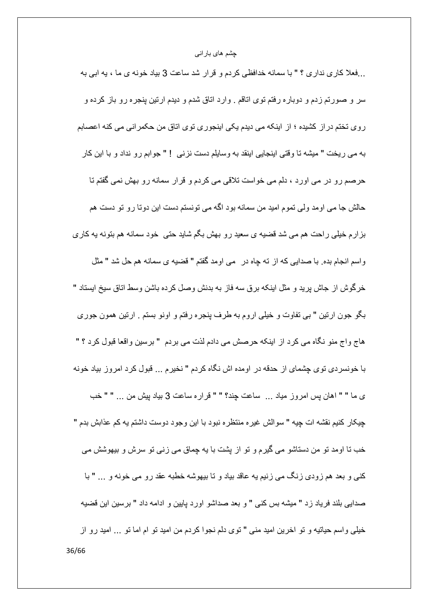...فعلا كاري نداري ؟ " با سمانه خدافظي كردم و قرار شد ساعت 3 بياد خونه ي ما ، يه ابي به سر و صورتم زدم و دوباره رفتم توى اتاقم . وارد اتاق شدم و ديدم ارتين ينجره رو باز كرده و روی تختم در از کشیده ؛ از اینکه می دیدم یکی اینجوری توی اتاق من حکمرانی می کنه اعصابم به مي ريخت " ميشه تا وقتي اينجايي اينقد به وسايلم دست نز ني ! " جوابم رو نداد و با اين كار حرصم رو در می اورد ، دلم می خواست تلاقی می کردم و قرار سمانه رو بهش نمی گفتم تا حالش جا می اومد ولی نموم امید من سمانه بود اگه می نونسنم دست این دوتا رو نو دست هم بزارم خیلی راحت هم می شد قضیه ی سعید رو بهش بگم شاید حتی خود سمانه هم بتونه یه کاری واسم انجام بده. با صدایی که از ته چاه در ً می اومد گفتم " قضیه ی سمانه هم حل شد " مثل خر گوش از جاش بر بد و مثل ابنکه بر ق سه فاز به بدنش و صل کر ده باشن و سط اتاق سبخ ابستاد " بگو جون ارتین " بی تفاوت و خیلی اروم به طرف پنجره رفتم و اونو بستم <sub>.</sub> ارتین همون جوری هاج واج منو نگاه می کرد از اینکه حرصش می دادم لذت می بردم " برسین واقعا قبول کرد ؟ " با خونسردي توي چشماي از حدقه در اومده اش نگاه كردم " نخيرم ... قبول كرد امروز بياد خونه ى ما " " اهان پس امروز مياد ... ساعت چند؟ " " قراره ساعت 3 بياد پيش من ... " " خب چیکار کنیم نقشه ات چیه " سوالش غیره منتظره نبود با این وجود دوست داشتم یه کم عذابش بدم " خب نا اومد نو من دستاشو می گیرم و نو از بشت با به جماق می زنی نو سرش و بیهوشش می كني و بعد هم زودي زنگ مي زنيم يه عاقد بياد و تا بيهوشه خطبه عقد رو مي خونه و ... " با صدابی بلند فریاد زد " میشه بس کنی " و بعد صداشو اورد پایین و ادامه داد " برسین این قضیه خيلبي واسم حياتيه و تو اخرين اميد منبي " توى دلم نجوا كردم من اميد تو ام اما تو ... اميد رو از 36/66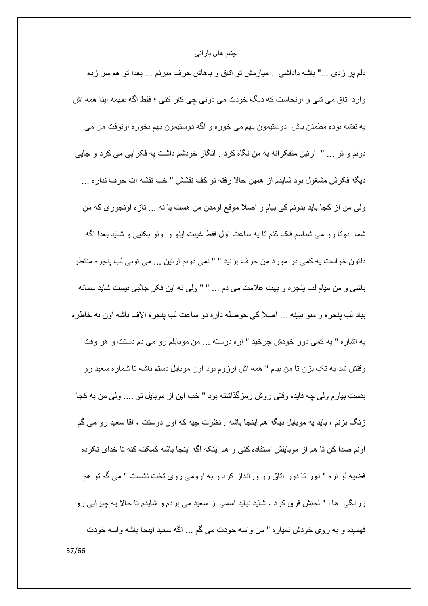دلم پر زدی …" باشه داداشی .. میارمش تو اناق و باهاش حرف میزنم … بعدا تو هم سر زده وارد اتاق می شی و اونجاست که دیگه خودت می دونی چی کار کنی ؛ فقط اگه بفهمه اینا همه اش یه نقشه بوده مطمئن باش دوستیمون بهم می خوره و اگه دوستیمون بهم بخوره اونوقت من می دونم و نو ... " ارتين متفكر انه به من نگاه كرد . انگار خودشم داشت به فكر ايي مي كرد و جايي ديگه فكرش مشغول بود شايدم از همين حالا رفته تو كف نقشش " خب نقشه ات حرف نداره ... ولَّـى من از كجا بايد بدونم كـي بيام و اصـلا موقع اومدن من هست يا نه ... تازه اونجوري كه من شما دونـا رو مـي شناسم فك كنم نـا يـه ساعت اول فقط غيبت اينو و اونو بكنيي و شايد بـعدا اگـه دلتون خواست يه كمي در مورد من حرف بزنيد " " نمي دونم ارتين ... مي توني لب پنجره منتظر باشي و من ميام لب پنجره و بهت علامت مي دم ... " " ولي نه اين فكر جالبي نيست شايد سمانه بياد لب ينجره و منو ببينه ... اصلا كي حوصله داره دو ساعت لب ينجره الاف باشه اون به خاطره به اشاره " به كمي دور خودش چرخيد " اره درسته ... من موبايلم رو مي دم دستت و هر وقت وقتش شد به تک بزن تا من بیام " همه اش ارزوم بود اون موبایل دستم باشه تا شماره سعید رو بدست بیارم ولمی چه فایده وقتبی روش رمزگذاشته بود " خب این از موبایل تو …. ولمی من به کجا زنگ بزنم ، باید یه موبایل دیگه هم اینجا باشه . نظرت چیه که اون دوستت ، اقا سعید رو می گم اونم صدا كن نا هم از موبايلش استفاده كنى و هم اينكه اگه اينجا باشه كمكت كنه نا خداى نكر ده قضیه لو نره " دور تا دور اتاق رو ورانداز کرد و به ارومی روی تخت نشست " می گم تو هم زرنگی ہااا " لحنش فرق کرد ، شاید نباید اسمی از سعید می بردم و شایدم تا حالا یه چیزایی رو فهمیده و به روی خودش نمیاره " من واسه خودت می گم ... اگه سعید اینجا باشه واسه خودت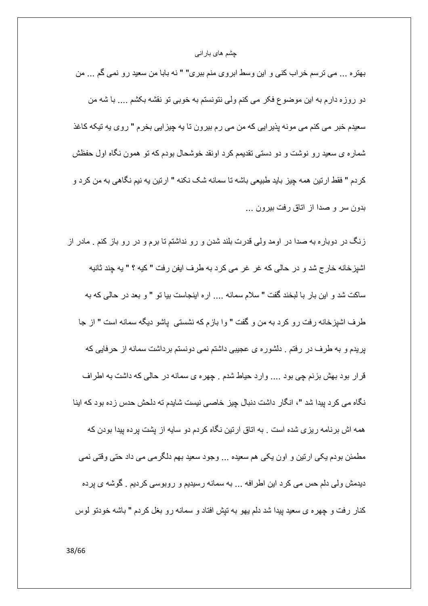بهتره … مي ترسم خراب كني و اين وسط ابروي منم ببري" " نه بابا من سعيد رو نمي گم … من دو روزه دارم به این موضوع فکر می کنم ولی نتونستم به خوبی تو نقشه بکشم .... با شه من سعیدم خبر می کنم می مونه پذیرایی که من می رم بیرون تا یه چیزایی بخرم " روی یه تیکه کاغذ شمار ه ی سعید ر و نوشت و دو دستی تقدیمم کرد اونقد خوشحال بودم که تو همون نگاه اول حفظش كردم " فقط ارتين همه چيز بايد طبيعي باشه تا سمانه شک نکنه " ارتين يه نيم نگاهي به من كرد و بدون سر و صدا از اتاق رفت بیرون ...

زنگ در دوباره به صدا در اومد ولّی قدرت بلند شدن و رو نداشتم تا برم و در رو باز کنم . مادر از اشپزخانه خارج شد و در حالي كه غر غر مي كرد به طرف ايفن رفت " كيه ؟ " يه چند ثانيه ساكت شد و اين بار با لبخند گفت " سلام سمانه .... اره اينجاست بيا تو " و بعد در حالي كه به طرف اشپزخانه رفت رو كرد به من و گفت " وا بازم كه نشستى پاشو ديگه سمانه است " از جا بریدم و به طرف در رفتم . دلشوره ی عجیبی داشتم نمی دونستم برداشت سمانه از حرفایی که قرار بود بهش بزنم چی بود .... وارد حیاط شدم . چهره ی سمانه در حالی که داشت به اطراف نگاه می کرد پیدا شد "، انگار داشت دنبال چیز خاصی نیست شایدم ته دلحش حدس زده بود که اینا همه اش بر نامه ر پز ی شده است . به اتاق ار تین نگاه کر دم دو سایه از پشت بر ده بیدا بودن که مطمئن بودم یکی ارتین و اون یکی هم سعیده … وجود سعید بهم دلگرمی می داد حتی وقتی نمی دیدمش ولی دلم حس می کرد این اطرافه ... به سمانه رسیدیم و روبوسی کردیم . گوشه ی پرده كنار رفت و چهره ي سعيد بيدا شد دلم يهو به تيش افتاد و سمانه رو بغل كردم " باشه خودتو لوس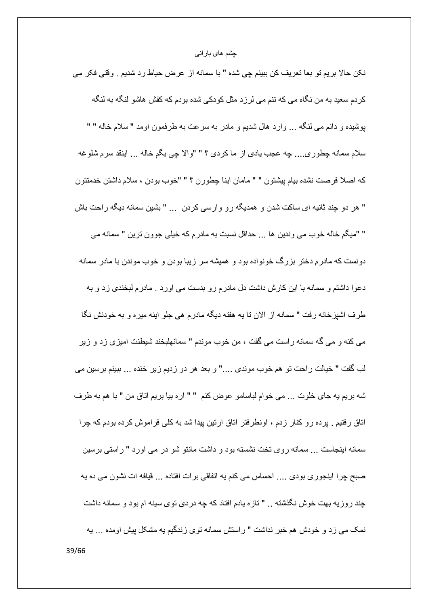نكن حالا بريم تو بعا تعريف كن ببينم چي شده " با سمانه از عرض حياط رد شديم . وقتي فكر مي کر دم سعید به من نگاه می که تنم می لر ز د مثل کو دکی شده بو دم که کفش هاشو ۖ لنگه به لنگه پوشیده و دائم می لنگه ... وارد هال شدیم و مادر به سرعت به طرفمون اومد " سلام خاله " " سلام سمانه چطوري.... چه عجب يادي از ماكردي ؟ " "والا چي بگم خاله ... اينقد سرم شلوغه كه اصلا فرصت نشده بيام پيشتون " " مامان اينا چطورن ؟ " "خوب بودن ، سلام داشتن خدمتتون " هر دو چند ثانیه ای ساکت شدن و همدیگه رو وارسی کردن … " بشین سمانه دیگه راحت باش " "ميگم خاله خوب مي وندين ها ... حداقل نسبت به مادرم كه خيلي جوون ترين " سمانه مي دونست که مادرم دختر بزرگ خونواده بود و همیشه سر زیبا بودن و خوب موندن با مادر سمانه دعوا داشتم و سمانه با این کارش داشت دل مادرم رو بدست می اورد . مادرم لبخندی زد و به طرف اشیزخانه رفت " سمانه از الان نا یه هفته دیگه مادرم هی جلو اینه میره و به خودنش نگا مي كنه و مي گه سمانه راست مي گفت ، من خوب موندم " سمانهلبخند شيطنت اميز ي ز د و زير لب گفت " خيالت راحت تو هم خوب موندي ...." و بعد هر دو زديم زير خنده ... ببينم برسين مي شه بريم يه جاى خلوت ... مى خوام لباسامو عوض كنم " " اره بيا بريم اتاق من " با هم به طرف اتاق رفتیم . پرده رو کنار زدم ، اونطرفتر اتاق ارتین پیدا شد به کلی فراموش کرده بودم که چرا سمانه ابنجاست ... سمانه روی تخت نشسته بود و داشت مانتو شو در می اورد " راستی برسین صبح جِرا ابنجوري بودي .... احساس مي كنم به اتفاقي برات افتاده ... فبافه ات نشون مي ده به جند روزيه بهت خوش نگذشته .. " تازه يادم افتاد كه چه دردي توي سينه ام بود و سمانه داشت نمک می زد و خودش هم خبر نداشت " راستش سمانه توی زندگیم یه مشکل پیش اومده ... یه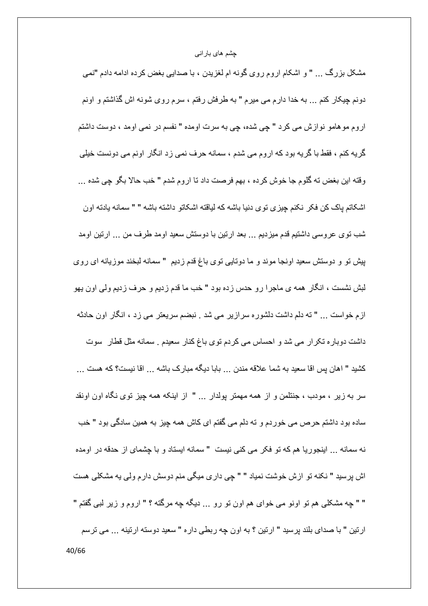مشکل بزرگ … " و اشکام اروم روی گونه ام لغزیدن ، با صدایی بغض کرده ادامه دادم "نمی دونم چیکار کنم ... به خدا دارم می میرم " به طرفش رفتم ، سرم روی شونه اش گذاشتم و اونم اروم مو هامو نوازش مي كرد " چي شده، چي به سرت اومده " نفسم در نمي اومد ، دوست داشتم گر په کنم ، فقط با گر په بود که اروم می شدم ، سمانه حرف نمی زد انگار اونم می دونست خللی وقته ابن بغض نه گلوم جا خوش كرده ، بهم فرصت داد نا اروم شدم " خب حالا بگو چي شده ... اشكاتم ياك كن فكر نكنم جِيزي توي دنيا باشه كه لياقته اشكاتو داشته باشه " " سمانه يادته اون شب نوی عروسی داشتیم قدم میزدیم … بعد ارتین با دوستش سعید اومد طرف من … ارتین اومد پیش تو و دوستش سعید اونجا موند و ما دوتایی توی باغ قدم زدیم " سمانه لبخند موزیانه ای روی لبش نشست ، انگار همه ي ماجرا رو حدس زده بود " خب ما قدم زديم و حرف زديم ولي اون يهو ازم خواست ... " ته دلم داشت دلشوره سرازیر می شد . نبضم سریعتر می زد ، انگار اون حادثه داشت دوباره تکر ار می شد و احساس می کردم توی باغ کنار سعیدم . سمانه مثل قطار سوت كشيد " اهان پس اقا سعيد به شما علاقه مندن ... بابا ديگه مبارك باشه ... اقا نيست؟ كه هست ... سر به زیر ، مودب ، جنتلمن و از همه مهمتر پولدار … " از اینکه همه چیز توی نگاه اون اونقد ساده بود داشتم حرص می خوردم و ته دلم می گفتم ای کاش همه چیز به همین سادگی بود " خب نه سمانه ... اینجوریا هم که تو فکر می کنی نیست " سمانه ایستاد و با چشمای از حدقه در اومده اش پرسید " نکنه تو ازش خوشت نمیاد " " چی داری میگی منم دوسش دارم ولی یه مشکلی هست " " چه مشکلی هم تو اونو می خوای هم اون تو رو ... دیگه چه مرگته ؟ " اروم و زیر لبی گفتم " ارتين " با صداي بلند پرسيد " ارتين ؟ به اون چه ربطي دار ه " سعيد دوسته ارتينه ... مي ترسم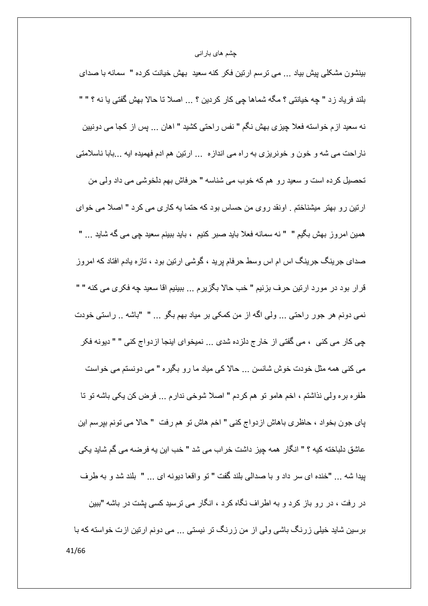بینشون مشکلی پیش بیاد ... می ترسم ارتین فکر کنه سعید بهش خیانت کرده " سمانه با صدای بلند فرياد زد " چه خيانتي ؟ مگه شماها چي كار كردين ؟ ... اصلا تا حالا بهش گفتي يا نه ؟ " " نه سعید ازم خواسته فعلا چیزی بهش نگم " نفس راحتی کشید " اهان ... پس از کجا می دونیین ناراحت می شه و خون و خونریزی به راه می اندازه ... ارتین هم ادم فهمیده ایه ...بابا ناسلامتی تحصيل كرده است و سعيد رو هم كه خوب مي شناسه " حرفاش بهم دلخوشي مي داد ولي من ارتین رو بهتر میشناختم . اونقد روی من حساس بود که حتما به کاری می کرد " اصلا می خوای همین امروز بهش بگیم " " نه سمانه فعلا باید صبر کنیم ، باید ببینم سعید چی می گه شاید ... " صدای جرینگ جرینگ اس ام اس وسط حرفام پرید ، گوشی ارتین بود ، تازه یادم افتاد که امروز قرار بود در مورد ارتين حرف بزنيم " خب حالا بگزيرم ... ببينيم اقا سعيد جه فكر ي مي كنه " " نمي دونم هر جور راحتي ... ولي اگه از من كمكي بر مياد بهم بگو ... " "باشه .. راستي خودت جي کار مي کني ، مي گفتي از ِ خار ج دلز ده شدي ... نميخو اي اينجا از دو اج کني " " ديونه فکر می کنی همه مثل خودت خوش شانسن ... حالا کی میاد ما رو بگیره " می دونستم می خواست طفره بره ولَّمي نذاشتم ، اخم هامو تو هم كردم " اصلاً شوخي ندارم … فرض كن يكي باشه تو تا پای جون بخواد ، حاظری باهاش ازدواج کنی " اخم هاش نو هم رفت " حالا می نونم بپرسم این عاشق دلباخته كيه ؟ " انگار همه جِبز داشت خراب مي شد " خب اين يه فرضه مي گم شايد يكي بيدا شه ... "خنده اى سر داد و با صدالى بلند گفت " تو واقعا ديونه اى ... " بلند شد و به طرف در رفت ، در رو باز کرد و به اطراف نگاه کرد ، انگار می ترسید کسی پشت در باشه "ببین برسین شاید خیلی زرنگ باشی ولی از من زرنگ تر نیستی ... می دونم ارتین ازت خواسته که با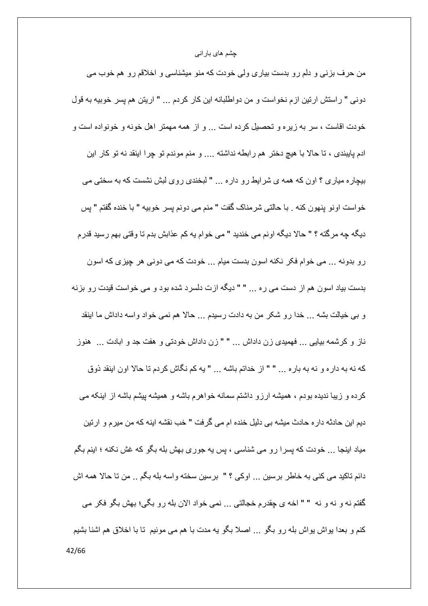من حرف بزنی و دلم رو بدست بیاری ولی خودت که منو میشناسی و اخلاقم رو هم خوب می دوني " راستش ارتين ازم نخواست و من دواطلبانه اين كار كردم ... " اريتن هم يسر خوبيه به قول خودت اقاست ، سر به زیره و تحصیل کرده است … و از همه مهمتر اهل خونه و خونواده است و ادم پایبندی ، تا حالا با هیچ دختر هم رابطه نداشته .... و منم موندم تو چرا اینقد نه تو کار این بیچاره میاری ؟ اون که همه ی شرایط رو داره ... " لبخندی روی لبش نشست که به سختی می خواست اونو ينهون كنه . با حالتي شرمناك گفت " منم مي دونم يسر خوبيه " با خنده گفتم " يس ديگه جه مركَّنه ؟ " حالا ديگه اونم مي خنديد " مي خوام يه كم عذابش بدم نا وقتي بهم رسيد قدرم رو بدونه ... می خوام فکر نکنه اسون بدست میام ... خودت که می دونی هر چیزی که اسون بدست بیاد اسون هم از دست می ره ... " " دیگه ازت دلسرد شده بود و می خواست قیدت رو بزنه و بي خيالت بشه ... خدا رو شكر من به دادت رسيدم ... حالا هم نمي خواد واسه داداش ما اينقد ناز و کرشمه بیایی ... فهمیدی زن داداش ... " " زن داداش خودتی و هفت جد و ابادت ... هنوز كه نه به داره و نه به باره ... " " از خداتم باشه ... " يه كم نگاش كردم تا حالا اون اينقد ذوق کرده و زیبا ندیده بودم ، همیشه ارزو داشتم سمانه خواهرم باشه و همیشه پیشم باشه از اینکه می دیم این حادثه دار ه حادث میشه بی دلیل خنده ام می گرفت " خب نقشه اینه که من میرم و ارتین میاد اینجا ... خودت که پسرا رو می شناسی ، پس یه جوری بهش بله بگو که غش نکنه ؛ اینم بگم دائم تاكيد مي كني به خاطر برسين ... اوكي ؟ " برسين سخته واسه بله بگم .. من تا حالا همه اش گفتم نه و نه و نه " " اخه ي چقدرم خجالتي ... نمي خواد الان بله رو بگي؛ بهش بگو فكر مي كنم و بعدا بواش بواش بله رو بگو … اصلا بگو به مدت با هم مي مونيم تا با اخلاق هم اشنا بشيم 42/66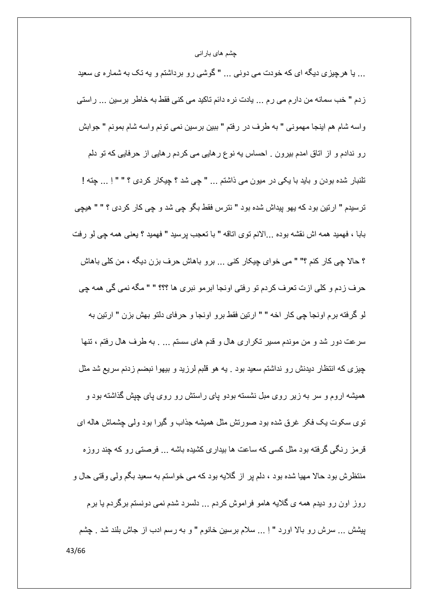... یا هرچیزی دیگه ای که خودت می دونی ... " گوشی رو برداشتم و یه تک به شماره ی سعید زدم " خب سمانه من دارم می رم … پادت نره دائم تاکید می کنی فقط به خاطر برسین … راستی واسه شام هم اينجا مهموني " به طرف در رفتم " ببين برسين نمي تونم واسه شام بمونم " جوابش رو ندادم و از اتاق امدم بیرون . احساس به نوع رهایی می کردم رهایی از حرفایی که تو دلم تلنبار شده بودن و بايد با يكي در ميون مي ذاشتم ... " چي شد ؟ چيكار كردي ؟ " " اِ ... چِنّه ! ترسيدم " ارتين بود كه بهو پيداش شده بود " نترس فقط بگو چي شد و چي كار كردي ؟ " " هيچي بابا ، فهميد همه اش نقشه بوده ...الانم توى اتاقه " با تعجب پرسيد " فهميد ؟ يعني همه چي لو رفت ؟ حالا چي کار کنم ؟" " مي خواي چيکار کني ... برو باهاش حرف بزن ديگه ، من کلي باهاش حرف ز دم و كلي از ت تعر ف كر دم تو ر فتي او نجا ابر مو نبر ي ها ؟؟؟ " " مگه نمي گي همه جي لو گرفته برم اونجا چي كار اخه " " ارتين فقط برو اونجا و حرفاي دلتو بهش بزن " ارتين به سرعت دور شد و من موندم مسیر تکراری هال و قدم های سستم … . به طرف هال رفتم ، تنها چیزی که انتظار دیدنش رو نداشتم سعید بود . یه هو قلبم لرزید و بیهوا نبضم زدنم سریع شد مثل همیشه اروم و سر به زیر روی مبل نشسته بودو پای راستش رو روی پای چپش گذاشته بود و توی سکوت یک فکر غرق شده بود صورتش مثل همیشه جذاب و گیرا بود ولمی چشماش هاله ای قر مز ِ رنگی گرفته بود مثل کسی که ساعت ها بیداری کشیده باشه … فرصتی رو که چند روزه منتظرش بود حالا مهیا شده بود ، دلم بر از گلایه بود که می خواستم به سعید بگم ولی وقتی حال و روز اون رو دیدم همه ی گلایه هامو فراموش کردم ... دلسرد شدم نمی دونستم برگردم یا برم بِيتْش … سرش رو بالا اورد " اِ … سلام برسين خانوم " و به رسم ادب از جاش بلند شد . چشم 43/66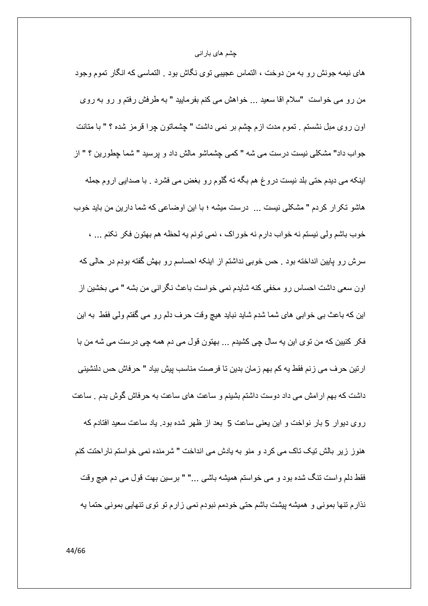های نیمه جونش رو به من دوخت ، التماس عجیبی توی نگاش بود . التماسی که انگار تموم وجود من رو می خواست "سلام اقا سعید ... خواهش می کنم بفرمایید " به طرفش رفتم و رو به روی اون روى مبل نشستم . تموم مدت ازم چشم بر نمى داشت " چشماتون چرا قرمز شده ؟ " با منانت جو اب داد" مشكلي نيست در ست مي شه " كمي چشماشو مالش داد و پر سيد " شما چطور پن ؟ " از اینکه می دیدم حتّی بلد نیست دروغ هم بگه ته گلوم رو بغض می فشرد . با صدایی اروم جمله هاشو تكرار كردم " مشكلي نيست ... درست ميشه ؛ با اين اوضاعي كه شما دارين من بايد خوب خوب باشم ولي نيستم نه خواب دارم نه خوراك ، نمي تونم يه لحظه هم بهتون فكر نكنم ... ، سرش رو پایین انداخته بود <sub>-</sub> حس خوبی نداشتم از اینکه احساسم رو بهش گفته بودم در حالی که اون سعی داشت احساس رو مخفی کنه شایدم نمی خواست باعث نگرانی من بشه " می بخشین از این که باعث بی خوابی های شما شدم شاید نباید هیچ وقت حرف دلم رو می گفتم ولی فقط به این فکر کنیین که من توی این یه سال چی کشیدم ... بهتون قول می دم همه چی درست می شه من با ارتين حرف مي زنم فقط يه كم بهم زمان بدين تا فرصت مناسب پيش بياد " حرفاش حس دلنشيني داشت که بهم ارامش می داد دوست داشتم بشینم و ساعت های ساعت به حرفاش گوش بدم <sub>-</sub> ساعت روی دیوار 5 بار نواخت و این یعنی ساعت 5 بعد از ظهر شده بود. یاد ساعت سعید افتادم که هنوز زير بالش تيک تاک مي کرد و منو به پادش مي انداخت " شرمنده نمي خواستم نار احتت کنم فقط دلم واست تنگ شده بود و می خواستم همیشه باشی ..." " برسین بهت قول می دم هیچ وقت نذارم ننها بمونی و همیشه پیشت باشم حتی خودمم نبودم نمی زارم نو نوی تنهایی بمونی حتما یه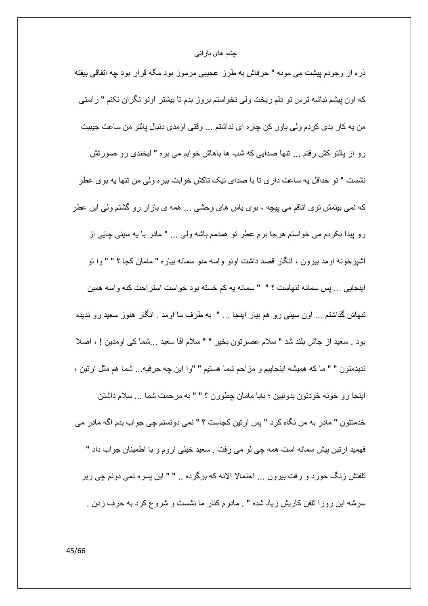ذره از وجودم پیشت می مونه " حرفاش به طرز عجیبی مرموز بود مگه قرار بود چه اتفاقی بیفته كه اون پیشم نباشه ترس تو دلم ریخت ولی نخواستم بروز بدم تا بیشتر اونو نگران نكنم " راستی من به كار بدى كردم ولى باور كن چاره اى نداشتم ... وقتى اومدى دنبال بالتو من ساعت جيبيت رو از پالتو كش رفتم ... تنها صدايي كه شب ها باهاش خوابم مي بره " لبخندي رو صورتش نشست " تو حداقل به ساعت داري تا با صداي تيک تاکش خوابت ببره ولي من تنها به بوي عطر که نمی بینمش توی اتاقم می پیچه ، بوی باس های وحشی … همه ی بازار رو گشتم ولی این عطر رو پيدا نكردم مى خواستم هرجا برم عطر تو همدمم باشه ولى … " مادر با يه سينى چايى از اشپزخونه اومد بیرون ، انگار قصد داشت اونو واسه منو سمانه بیاره " مامان کجا ؟ " " وا تو ابنجایی ... بس سمانه تنهاست ؟ " " سمانه به کم خسته بود خواست استر احت کنه و اسه همین تنهاش گذاشتم … اون سبنی رو هم بیار اینجا … " به طرف ما اومد . انگار هنوز سعید رو ندیده بود . سعيد از جاش بلند شد " سلام عصرتون بخير " " سلام اقا سعيد . . شما كي اومدين ! ، اصلا نديدمتون " " ما كه هميشه اينجاييم و مزاحم شما هستيم " "وا اين چه حرفيه... شما هم مثل ارتين ، اينجا رو خونه خودتون بدونيين ؛ بابا مامان چطورن ؟ " " به مرحمت شما ... سلام داشتن خدمتتون " مادر به من نگاه كرد " پس ارتين كجاست ؟ " نمي دونستم چي جواب بدم اگه مادر مي فهمید ارتین بیش سمانه است همه چی لو می رفت . سعید خیلی اروم و با اطمینان جواب داد " تلفنش زنگ خورد و رفت بیرون ... احتمالا الانه که برگرده .. " " این بسره نمی دونم چی زیر سرشه این روزا تلفن کاریش زیاد شده " . مادرم کنار ما نشست و شروع کرد به حرف زدن .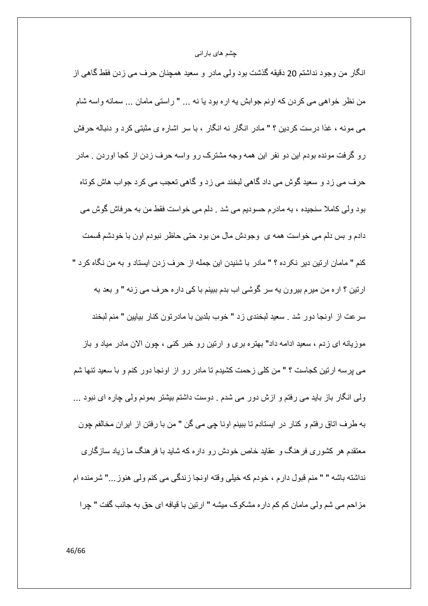انگار من وجود نداشتم 20 دقيقه گذشت بود ولمي مادر و سعيد همچنان حرف مي زدن فقط گاهي از من نظر خواهي مي كردن كه اونم جوابش يه اره بود يا نه ... " راستي مامان ... سمانه واسه شام می مونه ، غذا درست کردین ؟ " مادر انگار نه انگار ، با سر اشاره ی مثبتی کرد و دنباله حرفش رو گرفت مونده بودم این دو نفر این همه وجه مشترک رو واسه حرف زدن از کجا اوردن . مادر حرف می زد و سعید گوش می داد گاهی لبخند می زد و گاهی تعجب می کرد جواب هاش کوتاه بود ولی کاملا سنجیده ، به مادرم حسودیم می شد . دلم می خواست فقط من به حرفاش گوش می دادم و بس دلم می خواست همه ی وجودش مال من بود حتی حاظر نبودم اون با خودشم قسمت كنم " مامان ارتين دير نكرده ؟ " مادر با شنيدن اين جمله از حرف زدن ايستاد و به من نگاه كرد " ارنین ؟ اره من میرم بیرون یه سر گوشی اب بدم ببینم با کی داره حرف می زنه " و بعد به سرعت از اونجا دور شد . سعيد لبخندي زد " خوب بلدين با مادرتون كنار بيايين " منم لبخند موزیانه ای زدم ، سعید ادامه داد" بهتره بری و ارتین رو خبر کنی ، چون الان مادر میاد و باز می پرسه ارتین کجاست ؟ " من کلی زحمت کشیدم تا مادر رو از اونجا دور کنم و با سعید تنها شم ولَّمي انگار باز بايد مي رفتم و ازش دور مي شدم . دوست داشتم بيشتر بمونم ولمي چاره اي نبود ... به طرف اتاق رفتم و كنار در ايستادم تا ببينم اونا چي مي گن " من با رفتن از ايران مخالفم چون معتقدم هر کشوری فر هنگ و عقاید خاص خودش رو داره که شاید با فر هنگ ما زیاد سازگاری نداشته باشه " " منم قبول دار م ، خو دم که خیلی و قته او نجا ز ندگی می کنم ولی هنو ز ..." شر منده ام مزاحم مي شم ولي مامان كم كم داره مشكوك ميشه " ارتين با قيافه اي حق به جانب گفت " چرا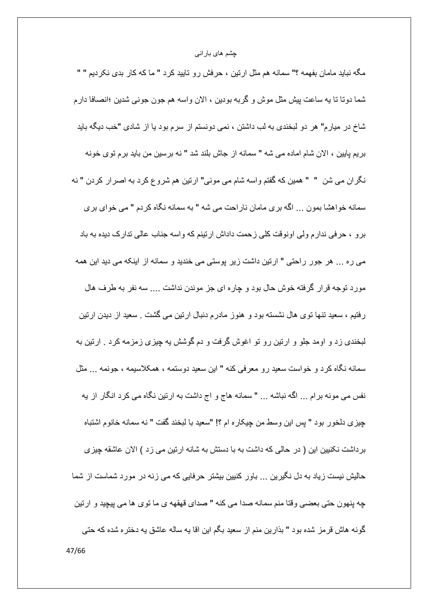مگه نباید مامان بفهمه ؟" سمانه هم مثل ارتین ، حرفش رو تایید کرد " ما که کار بدی نکردیم " " شما دوتا تا به ساعت بيش مثل موش و گربه بودين ، الان واسه هم جون جونبي شدين ؛انصافا دارم شاخ در میارم" هر دو لبخندی به لب داشتن ، نمی دونستم از سرم بود یا از شادی "خب دیگه باید بريم بايين ، الان شام اماده مي شه " سمانه از جاش بلند شد " نه بر سين من بايد بر م نوى خونه نگران می شن " " همین که گفتم واسه شام می مونی" ارتین هم شروع کرد به اصرار کردن " نه سمانه خواهشا بمون ... الكه بري مامان ناراحت مي شه " به سمانه نگاه كردم " مي خواي بر ي برو ، حرفي ندارم ولي اونوقت كلي زحمت داداش ارتينم كه واسه جناب عالي تدارك ديده به باد می ره ... هر جور راحتی " ارتین داشت زیر پوستی می خندید و سمانه از اینکه می دید این همه مورد توجه قرار گرفته خوش حال بود و چاره ای جز موندن نداشت .... سه نفر به طرف هال رفتیم ، سعید تنها توی هال نشسته بود و هنوز مادرم دنبال ارتین می گشت . سعید از دیدن ارتین لبخندی زد و اومد جلو و ارتین رو تو اغوش گرفت و دم گوشش به چیزی زمزمه کرد . ارتین به سمانه نگاه کرد و خواست سعید رو معرفی کنه " این سعید دوستمه ، همکلاسیمه ، جونمه ... مثل نفس می مونه برام ... اگه نباشه ... " سمانه هاج و اج داشت به ارتین نگاه می کرد انگار از یه چيزي دلخور بود " پس اين وسط من چيكار ه ام ؟! "سعيد با لبخند گفت " نه سمانه خانوم اشتباه برداشت نكنيين اين ( در حالي كه داشت به با دستش به شانه ارتين مي زد ) الان عاشقه چيزي حالیش نیست زیاد به دل نگیرین ... باور کنبین بیشتر حرفایی که می زنه در مورد شماست از شما جه بنهون حتى بعضبي وقتا منم سمانه صدا مي كنه " صداي قهقهه ي ما توى ها مي بيچيد و ارتين گونه هاش قرمز شده بود " بذارين منم از سعيد بگم اين اقا يه ساله عاشق يه دختره شده كه حتى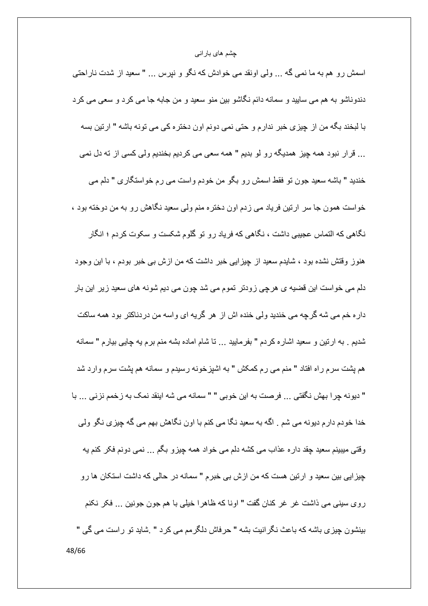اسمش رو هم به ما نمي گه ... ولي اونقد مي خوادش كه نگو و نپرس ... " سعيد از شدت ناراحتي دندوناشو به هم می سایید و سمانه دائم نگاشو بین منو سعید و من جابه جا می کرد و سعی می کرد با لبخند بگه من از چیزی خبر ندارم و حتی نمی دونم اون دختره کی می تونه باشه " ارتین بسه ... قرار نبود همه چیز همدیگه رو لو بدیم " همه سعی می کردیم بخندیم ولی کسی از ته دل نمی خندید " باشه سعید جون تو فقط اسمش رو بگو من خودم واست می رم خواستگاری " دلم می خواست همون جا سر ارتین فریاد می زدم اون دختره منم ولی سعید نگاهش رو به من دوخته بود ، نگاهی که التماس عجیبی داشت ، نگاهی که فریاد رو تو گلوم شکست و سکوت کردم ؛ انگار هنوز وقتش نشده بود ، شایدم سعید از چیزایی خبر داشت که من ازش بی خبر بودم ، با این وجود دلم می خواست این قضیه ی هرچی زودتر تموم می شد چون می دیم شونه های سعید زیر این بار داره خم می شه گرچه می خندید ولی خنده اش از هر گریه ای واسه من دردناکتر بود همه ساکت شدیم . به ارتین و سعید اشاره کردم " بفرمایید … تا شام اماده بشه منم برم یه چاپی بیارم " سمانه هم پشت سرم راه افتاد " منم مي رم كمكش " به اشپزخونه رسيدم و سمانه هم پشت سرم وارد شد " ديونه چرا بهش نگفتي ... فرصت به اين خوبي " " سمانه مي شه اينقد نمک به زخمم نزني ... با خدا خودم دارم دیونه می شم . اگه به سعید نگا می کنم با اون نگاهش بهم می گه چیزی نگو ولی وقتی میبینم سعید چقد دار ، عذاب می کشه دلم می خواد همه چیزو بگم ... نمی دونم فکر کنم یه چیز ایی بین سعید و ارتین هست که من ازش بی خبرم " سمانه در حالی که داشت استکان ها رو روى سيني مي ذاشت غر غر كنان گفت " اونا كه ظاهرا خيلي با هم جون جونين ... فكر نكنم بينشون چيز ي باشه كه باعث نگر انيت بشه " حرفاش دلگر مم مي كر د " .شايد نو ر است مي گي " 48/66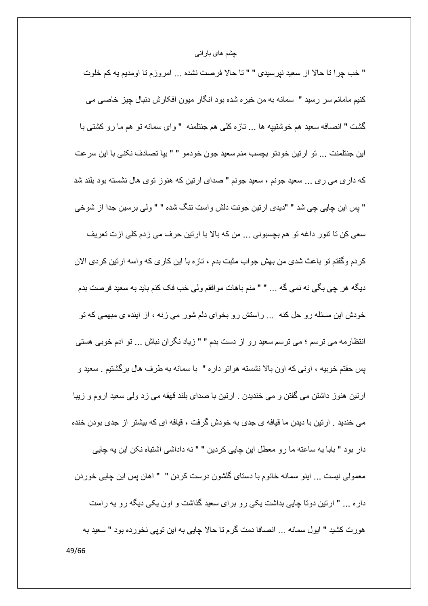" خب چرا نا حالا از سعيد نيرسيدي " " نا حالا فرصت نشده ... امروزم نا اومديم يه كم خلوت كنيم مامانم سر رسيد " سمانه به من خيره شده بود انگار ميون افكارش دنبال چيز خاصبي مي گشت " انصافه سعید هم خوشتییه ها ... تازه کلبی هم جنتلمنه " وای سمانه تو هم ما رو کشتبی با اين جنتلمنت ... تو ارتين خودتو بچسب منم سعيد جون خودمو " " بيا تصادف نكني با اين سرعت که داری می ری ... سعید جونم ، سعید جونم " صدای ارتین که هنوز توی هال نشسته بود بلند شد " پس این چاپی چی شد " "دیدی ارتین جونت دلش واست تنگ شده " " ولی برسین جدا از شوخی سعی کن نا ننور داغه نو هم بچسبونی ... من که بالا با ارتین حرف می زدم کلی ازت نعریف كردم وگفتم تو باعث شدي من بهش جواب مثبت بدم ، تاز ه با اين كار ي كه واسه ارتين كردي الان ديگه هر جي بگي نه نمي گه ... " " منم باهات مو افقم و لي خب فک کنم بايد به سعيد فر صت بدم خودش این مسئله رو حل کنه ... راستش رو بخوای دلم شور می زنه ، از اینده ی مبهمی که تو انتظارمه می ترسم ؛ می ترسم سعید رو از دست بدم " " زیاد نگران نباش ... تو ادم خوبی هستی پس حقتم خوبیه ، اونبی که اون بالا نشسته هواتو داره " با سمانه به طرف هال برگشتیم . سعید و ارتین هنوز داشتن می گفتن و می خندیدن . ارتین با صدای بلند قهقه می زد ولمی سعید اروم و زیبا می خندید . ارتین با دیدن ما قیافه ی جدی به خودش گرفت ، قیافه ای که بیشتر از جدی بودن خنده دار بود " بابا يه ساعته ما رو معطل اين چاپي كردين " " نه داداشي اشتباه نكن اين يه جايي معمولی نیست ... اینو سمانه خانوم با دستای گلشون درست کردن " " اهان پس این چاپی خوردن داره ... " ارتین دوتا چاپی بداشت یکی رو برای سعید گذاشت و اون یکی دیگه رو یه راست هورت كشيد " ايول سمانه ... انصافا دمت كَرم نا حالا چايي به اين نويي نخورده بود " سعيد به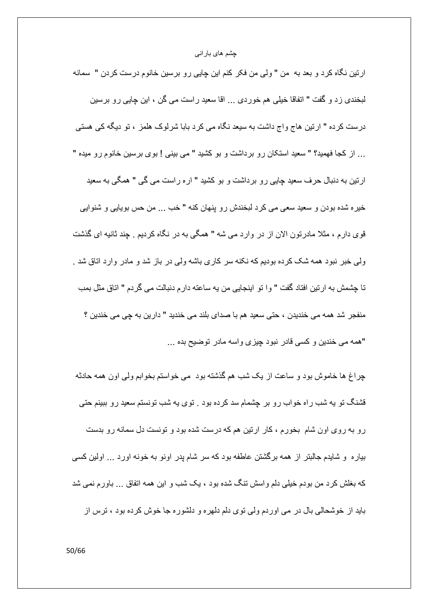ارتین نگاه کرد و بعد به من " ولی من فکر کنم این چایی رو برسین خانوم درست کردن " سمانه لبخندي زد و گفت " انفاقا خيلي هم خوردي ... اقا سعيد راست مي گن ، اين چاپي رو برسين درست کرده " ارتین هاج واج داشت به سیعد نگاه می کرد بابا شرلوک هلمز ، تو دیگه کی هستی ... از كجا فهميد؟ " سعيد استكان رو برداشت و بو كشيد " مى بينى ! بوى برسين خانوم رو ميده " ارنین به دنبال حرف سعید چاپی رو برداشت و بو کشید " اره راست می گی " همگی به سعید خيره شده بودن و سعيد سعي مي كرد لبخندش رو پنهان كنه " خب ... من حس بويايي و شنوايي قوی دارم ، مثلا مادرتون الان از در وارد می شه " همگی به در نگاه کردیم <sub>.</sub> چند ثانیه ای گذشت ولمی خبر نبود همه شک کرده بودیم که نکنه سر کاری باشه ولمی در باز شد و مادر وارد اتاق شد . تا چشمش به ارتین افتاد گفت " وا تو اینجایی من یه ساعته دارم دنبالت می گردم " اتاق مثل بمب منفجر شد همه مي خنديدن ، حتى سعيد هم با صداي بلند مي خنديد " دارين به جي مي خندين ؟ "همه می خندین و کسی قادر نبود چیز ی واسه مادر نوضیح بده ...

چراغ ها خاموش بود و ساعت از یک شب هم گذشته بود ً می خواستم بخوابم ولی اون همه حادثه قشنگ تو به شب راه خواب رو بر چشمام سد کرده بود . توی به شب تونستم سعید رو ببینم حتی رو به روی اون شام بخورم ، کار ارتین هم که درست شده بود و تونست دل سمانه رو بدست بیاره و شایدم جالبتر از همه برگشتن عاطفه بود که سر شام پدر اونو به خونه اورد … اولین کسی که بغلش کرد من بودم خیلی دلم واسش تنگ شده بود ، یک شب و این همه اتفاق ... باورم نمی شد باید از خوشحالی بال در می اوردم ولی توی دلم دلهره و دلشوره جا خوش کرده بود ، ترس از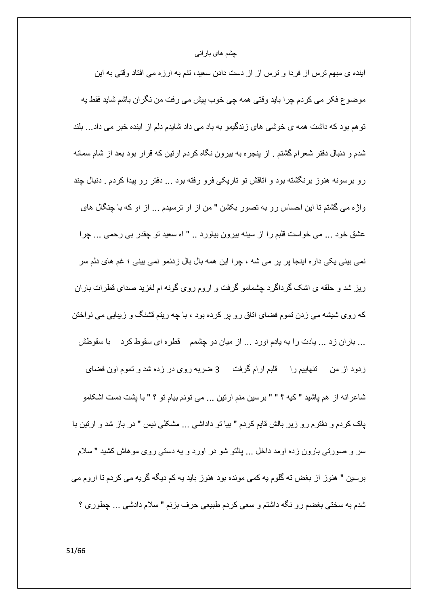اینده ی مبهم ترس از فردا و ترس از از دست دادن سعید، تنم به ارزه می افتاد وقتی به این موضوع فكر مي كردم چرا بايد وقتي همه چي خوب پيش مي رفت من نگران باشم شايد فقط يه تو هم بود که داشت همه ی خوشی های زندگیمو به باد می داد شایدم دلم از اینده خبر می داد ... بلند شدم و دنبال دفتر شعر ام گشتم . از پنجر ه به بیر ون نگاه کر دم ارتین که قر ار بود بعد از شام سمانه رو برسونه هنوز برنگشته بود و اتاقش تو تاریکی فرو رفته بود ... دفتر رو پیدا کردم . دنبال چند واژه می گشتم تا این احساس رو به تصور بکشن " من از او ترسیدم ... از او که با چنگال های عشق خود ... مي خواست قلبم را از سينه بيرون بياورد .. " اه سعيد تو چقدر بي رحمي ... چرا نمی بینی یکی دار ہ اینجا پر پر می شه ، چرا این همه بال بال زدنمو نمی بینی ؛ غم های دلم سر ریز شد و حلقه ی اشک گرداگرد چشمامو گرفت و اروم روی گونه ام لغزید صدای قطرات باران که روی شیشه می زدن تموم فضای اتاق رو پر کرده بود ، با چه ریتم قشنگ و زیبایی می نواختن ... باران زد ... بادت را به یادم اورد ... از میان دو چشمم گفطره ای سقوط کرد پا سقوطش زدود از من تنهاییم را قلبم ارام گرفت 3 ضربه روی در زده شد و تموم اون فضای شاعرانه از هم ياشيد "كيه ؟ " " برسين منم ارتين ... مي تونم بيام تو ؟ " با پشت دست اشكامو پاک کردم و دفترم رو زیر بالش قایم کردم " بیا تو داداشی ... مشکلی نیس " در باز شد و ارتین با سر و صورتبی بارون زده اومد داخل ... پالتو شو در اورد و به دستبی روی موهاش کشید " سلام بر سین " هنوز از بغض ته گلوم یه کمی مونده بود هنوز باید یه کم دیگه گر یه می کر دم تا ار و م می شدم به سختی بغضم رو نگه داشتم و سعی کردم طبیعی حرف بزنم " سلام دادشی ... چطوری ؟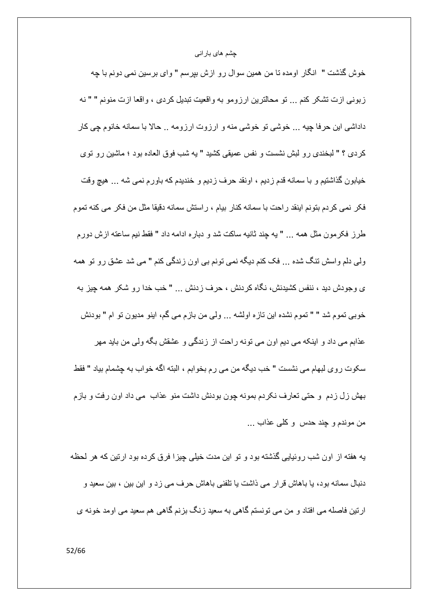خوش گذشت " انگار اومده تا من همین سوال رو ازش بپرسم " وای برسین نمی دونم با چه زبوني ازت تشكر كنم ... تو محالترين ارزومو به واقعيت تبديل كردي ، واقعا ازت منونم " " نه داداشی این حرفا چیه ... خوشی تو خوشی منه و ارزوت ارزومه .. حالا با سمانه خانوم چی کار كردي ؟ " لبخندي رو لبش نشست و نفس عميقي كشيد " به شب فوق العاده بود ؛ ماشين رو توي خيابون گذاشتيم و با سمانه قدم زديم ، اونقد حرف زديم و خنديدم كه باورم نمي شه ... هيچ وقت فكر نمي كردم بتونم اينقد راحت با سمانه كنار بيام ، راستش سمانه دقيقا مثل من فكر مي كنه تموم طرز فكرمون مثل همه … " يه چند ثانيه ساكت شد و دباره ادامه داد " فقط نيم ساعته ازش دورم ولی دلم واسش تنگ شده ... فک کنم دیگه نمی تونم بی اون زندگی کنم " می شد عشق رو تو همه ی وجودش دید ، ننفس کشیدنش، نگاه کر دنش ، حرف ز دنش ... " خب خدا ر و شکر ِ همه جبز به خوبي نموم شد " " تموم نشده اين تازه اولشه ... ولي من بازم مي گم، اينو مديون تو ام " بودنش عذابم می داد و اینکه می دیم اون می تونه راحت از زندگی و عشقش بگه ولی من باید مهر سكوت روى لبهام مى نشست " خب ديگه من مى رم بخوابم ، البته اگه خواب به چشمام بياد " فقط بهش زل زدم و حتى تعارف نكردم بمونه چون بودنش داشت منو عذاب مى داد اون رفت و بازم من موندم و چند حدس و كلبي عذاب ...

یه هفته از اون شب روئیایی گذشته بود و تو این مدت خیلی چیزا فرق کرده بود ارتین که هر لحظه دنبال سمانه بود، یا باهاش قرار می ذاشت یا تلفنی باهاش حرف می زد و این بین ، بین سعید و ار تین فاصله می افتاد و من می تو نستم گاهی به سعید ز نگ بز نم گاهی هم سعید می او مد خو نه ی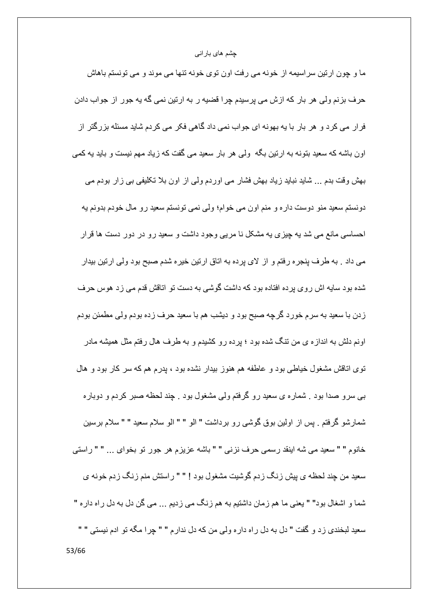ما و چون ارتین سراسیمه از خونه می رفت اون توی خونه تنها می موند و می تونستم باهاش حرف بزنم ولی هر بار که ازش می پرسیدم چرا قضیه ر به ارتین نمی گه یه جور از جواب دادن فرار می کرد و هر بار با یه بهونه ای جواب نمی داد گاهی فکر می کردم شاید مسئله بز ر گنر از اون باشه که سعید بنونه به ارتین بگه ً ولّی هر بار سعید می گفت که زیاد مهم نیست و باید به کمی بھش وقت بدم … شاید نباید زیاد بھش فشار می اوردم ولمی از اون بلا تکلیفی بی زار بودم می دونستم سعيد منو دوست داره و منم اون مي خوام؛ ولي نمي تونستم سعيد رو مال خودم بدونم يه احساسی مانع می شد به چیزی به مشکل نا مربی وجود داشت و سعید رو در دور دست ها قرار مي داد . به طرف پنجره رفتم و از لاي پرده به اتاق ارتين خيره شدم صبح بود ولي ارتين بيدار شده بو د سایه اش ر و ی بر ده افتاده بو د که داشت گوشی به دست تو اتاقش قدم می ز د هوس حر ف زدن با سعید به سرم خورد گرچه صبح بود و دیشب هم با سعید حرف زده بودم ولی مطمئن بودم اونم دلش به اندازه ی من تنگ شده بود ؛ برده رو کشیدم و به طرف هال رفتم مثل همیشه مادر توی اناقش مشغول خیاطی بود و عاطفه هم هنوز بیدار نشده بود ، پدرم هم که سر کار بود و هال ببی سرو صدا بود . شماره ی سعید رو گرفتم ولی مشغول بود . چند لحظه صبر کردم و دوباره شمارشو گرفتم . پس از اولین بوق گوشی رو برداشت " الو " " الو سلام سعید " " سلام برسین خانوم " " سعيد مي شه اينقد رسمي حرف نزني " " باشه عزيزم هر جور تو بخواي ... " " راستي سعید من جند لحظه ی بیش ز نگ ز دم گوشیت مشغول بود ! " " ر استش منم ز نگ ز دم خو نه ی شما و اشغال بود" " يعني ما هم زمان داشتيم به هم زنگ مي زديم ... مي گن دل به دل راه دار ه " سعيد لبخندي زد و گفت " دل به دل راه داره ولي من كه دل ندارم " " چرا مگه نو ادم نيستي " "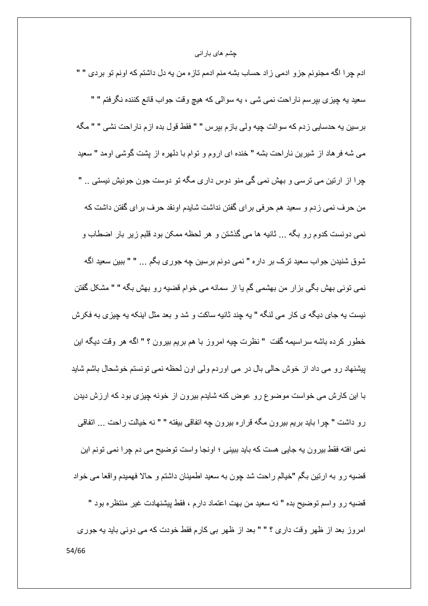ادم چرا اگه مجنونم جزو ادمی زاد حساب بشه منم ادمم تازه من يه دل داشتم كه اونم تو بردی " " سعید یه چیزی بپرسم ناراحت نمی شی ، یه سوالی که هیچ وقت جواب قانع کننده نگرفتم " " برسين يه حدسايي زدم كه سوالت چيه ولي بازم بپرس " " فقط قول بده ازم ناراحت نشي " " مگه مي شه فر هاد از شيرين ناراحت بشه " خنده اي اروم و توام با دلهره از يشت گوشي اومد " سعيد چرا از ارتین می ترسی و بهش نمی گی منو دوس داری مگه تو دوست جون جونیش نیستی .. " من حرف نمی زدم و سعید هم حرفی برای گفتن نداشت شایدم اونقد حرف برای گفتن داشت که نمی دونست کدوم رو بگه ... ثانیه ها می گذشتن و هر لحظه ممکن بود قلبم زیر بار اضطاب و شوق شنیدن جواب سعید ترک بر دار ہ " نمی دونم برسین چه جوری بگم ... " " ببین سعید اگه نمے، تونے، بھش بگے، بز ار ٍ من بھشمے، گم یا از ِ سمانه مے، خو ام قضیه ر و بھش بگه " " مشکل گفتن نبست به جاي ديگه ي كار مي لنگه " به جند ثانيه ساكت و شد و بعد مثل اينكه به چيزي به فكرش خطور كرده باشه سراسيمه گفت " نظرت چيه امروز با هم بريم بيرون ؟ " اگه هر وقت ديگه اين پیشنهاد رو می داد از خوش حالی بال در می اوردم ولی اون لحظه نمی تونستم خوشحال باشم شاید با این کارش می خواست موضوع رو عوض کنه شایدم بیرون از خونه چیزی بود که ارزش دیدن رو داشت " چرا باید بریم بیرون مگه قراره بیرون چه اتفاقی بیفته " " نه خیالت راحت ... اتفاقی نمي افته فقط بيرون يه جايي هست كه بايد ببيني ؛ اونجا واست توضيح مي دم چرا نمي تونم اين قضيه ر و به ار تين بگم "خيالم ر احت شد جون به سعيد اطمينان داشتم و حالا فهميدم واقعا مي خواد قضيه رو واسم توضيح بده " نه سعيد من بهت اعتماد دارم ، فقط بيشنهادت غير منتظره بود " امروز بعد از ظهر وقت داري ؟ " " بعد از ظهر بي كارم فقط خودت كه مي دوني بايد يه جوري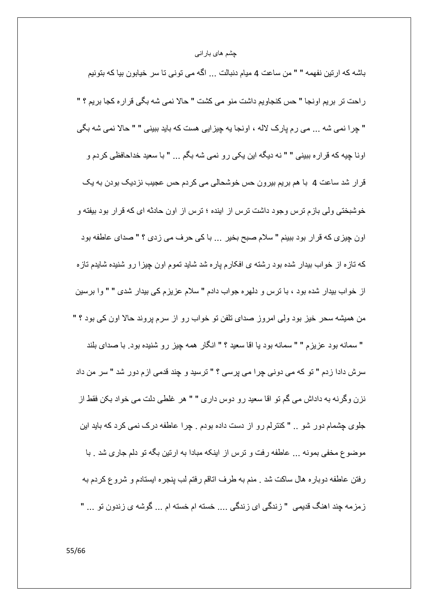باشه كه ارتين نفهمه " " من ساعت 4 ميام دنبالت ... اگه مي توني تا سر خيابون بيا كه بتونيم راحت تر بريم اونجا " حس كنجاويم داشت منو مي كشت " حالا نمي شه بگي قرار ه كجا بريم ؟ " " جِرا نمي شه ... مي رم بارک لاله ، اونجا به جِبزايي هست که بابد ببيني " " حالا نمي شه بگي اونا جِيه كه قراره ببيني " " نه ديگه اين يكي رو نمي شه بگم ... " با سعيد خداحافظي كردم و قرار شد ساعت 4٪ با هم بریم بیرون حس خوشحالی می کردم حس عجیب نزدیک بودن به یک خوشبختی ولی بازم ترس وجود داشت ترس از اینده ؛ ترس از اون حادثه ای که قرار بود بیفته و اون چیزی که قرار بود ببینم " سلام صبح بخیر ... با کی حرف می زدی ؟ " صدای عاطفه بود که تازه از خواب بیدار شده بود رشته ی افکارم پاره شد شاید تموم اون چیزا رو شنیده شایدم تازه از خواب بیدار شده بود ، با ترس و دلهره جواب دادم " سلام عزیزم کی بیدار شدی " " وا برسین من همیشه سحر خیز بود ولی امروز صدای تلفن تو خواب رو از سرم پروند حالا اون کی بود ؟ " " سمانه بود عزیزم " " سمانه بود یا اقا سعید ؟ " انگار همه چیز رو شنیده بود. با صدای بلند سرش دادا زدم " تو که می دونی چرا می پرسی ؟ " ترسید و چند قدمی ازم دور شد " سر من داد نزن وگرنه به داداش می گم تو اقا سعید رو دوس داری " " هر غلطی دلت می خواد بکن فقط از جلوی چشمام دور شو .. " کنترلم رو از دست داده بودم . چرا عاطفه درک نمی کرد که باید این موضوع مخفى بمونه ... عاطفه رفت و ترس از اينكه مبادا به ارتين بگه تو دلم جاري شد . با رفتن عاطفه دوباره هال ساكت شد . منم به طرف اناقم رفتم لب ينجره ايستادم و شروع كردم به زمزمه چند اهنگ قدیمی " زندگی ای زندگی .... خسته ام خسته ام ... گوشه ی زندون تو ... "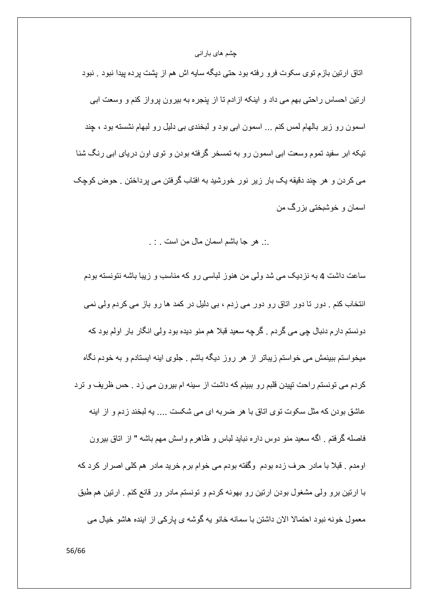اتاق ارتین بازم توی سکوت فرو رفته بود حتی دیگه سایه اش هم از پشت پرده پیدا نبود <sub>.</sub> نبود ارنین احساس راحتی بهم می داد و اینکه از ادم تا از پنجره به بیرون پرواز کنم و وسعت ابی اسمون رو زیر بالهام لمس کنم ... اسمون ابی بود و لبخندی بی دلیل رو لبهام نشسته بود ، چند تیکه ابر سفید تموم وسعت ابی اسمون رو به تمسخر گرفته بودن و توی اون دریای ابی رنگ شنا می کردن و هر چند دقیقه یک بار زیر نور خورشید به افتاب گرفتن می پرداختن . حوض کوچک اسمان و خوشبختي بزرگ من

## .:. هر جا باشم اسمان مال من است . : .

ساعت داشت 4 به نزدیک می شد ولی من هنوز لباسی رو که مناسب و زیبا باشه نتونسته بودم انتخاب کنم . دور تا دور اتاق رو دور می زدم ، بی دلیل در کمد ها رو باز می کردم ولی نمی دونستم دار م دنبال چي مي گردم . گرچه سعيد قبلا هم منو ديده بود ولي انگار بار اولم بود كه میخواستم ببینمش می خواستم زیباتر از هر روز دیگه باشم . جلوی اینه ایستادم و به خودم نگاه کردم می تونستم راحت تپیدن قلبم رو ببینم که داشت از سینه ام بیرون می زد . حس ظریف و ترد عاشق بودن که مثل سکوت توی اتاق با هر ضربه ای می شکست …. یه لبخند زدم و از اینه فاصله گرفتم . اگه سعید منو دوس داره نباید لباس و ظاهرم واسش مهم باشه " از اناق بیرون اومدم . قبلاً با مادر حرف زده بودم ۖ وگفته بودم مي خوام برم خريد مادر ۖ هم كلِّي اصر ار كرد كه با ارتین برو ولّی مشغول بودن ارتین رو بهونه کردم و تونستم مادر ور قانع کنم . ارتین هم طبق معمول خونه نبود احتمالا الان داشتن با سمانه خانو به گوشه ی بار کی از ابنده هاشو خیال می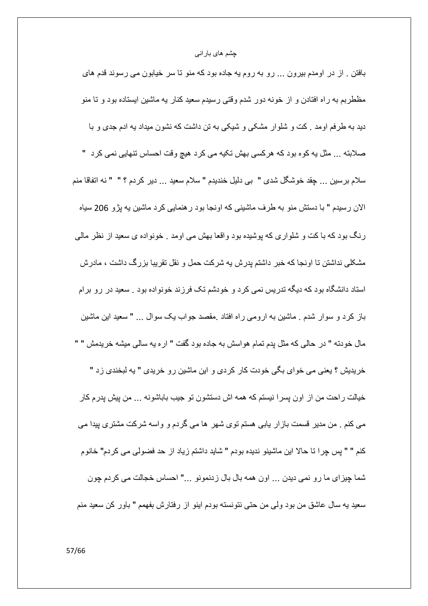بافتن . از در اومدم بیرون ... رو به روم یه جاده بود که منو تا سر خیابون می رسوند قدم های مظطربم به راه افتادن و از خونه دور شدم وقتی رسیدم سعید کنار به ماشین ایستاده بود و تا منو دید به طر فم او مد . کت و شلو ار مشکی و شیکی به تن داشت که نشون میداد به ادم جدی و با صلابته ... مثل يه كوه بود كه هركسي بهش تكيه مي كرد هيچ وقت احساس تنهايي نمي كرد " سلام برسين ... جِقد خوشگل شدي " بي دليل خنديدم " سلام سعيد ... دير كردم ؟ " " نه اتفاقا منم الان رسیدم " با دستش منو به طرف ماشینی که اونجا بود ر هنمایی کرد ماشین یه پژو 206 سیاه رنگ بود که با کت و شلواری که پوشیده بود واقعا بهش می اومد <sub>.</sub> خونواده ی سعید از نظر مالی مشکلی نداشتن تا اونجا که خبر داشتم بدرش به شرکت حمل و نقل تقریبا بزرگ داشت ، مادرش استاد دانشگاه بود که دیگه تدریس نمی کرد و خودشم تک فرزند خونواده بود . سعید در رو برام باز کرد و سوار شدم ـ ماشین به ارومی راه افتاد ـمقصد جواب یک سوال ـ ـ " سعید این ماشین مال خودنه " در حالبي كه مثل پدم نمام هواسش به جاده بود گفت " اره يه سالبي ميشه خريدمش " " خریدیش ؟ یعنی می خوای بگی خودت کار کردی و این ماشین رو خریدی " به لبخندی زد " خيالت راحت من از اون پسر ا نيستم كه همه اش دستشون تو جيب باباشونه ... من بيش پدر م كار می کنم . من مدیر قسمت بازار بابی هستم توی شهر ًها می گردم و واسه شرکت مشتری پیدا می كنم " " پس چرا نا حالا اين ماشينو نديده بودم " شايد داشتم زياد از حد فضولي مي كردم" خانوم شما چیزای ما رو نمی دیدن ... اون همه بال بال زدنمونو ..." احساس خجالت می کردم جون سعيد به سال عاشق من بود ولمي من حتى نتونسته بودم اينو از رفتارش بفهمم " باور كن سعيد منم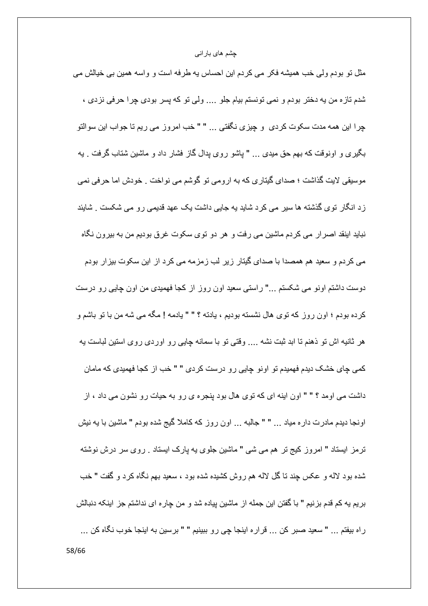مثل نو بودم ولی خب همیشه فکر می کردم این احساس به طرفه است و واسه همین بی خیالش می شدم تازه من يه دختر بودم و نمي تونستم بيام جلو .... ولي تو كه پسر بودي چرا حرفي نزدي ، چرا این همه مدت سکوت کردی و چیزی نگفتی ... " " خب امروز می ریم تا جواب این سوالتو بگیری و اونوقت که بهم حق میدی … " پاشو روی بدال گاز فشار داد و ماشین شتاب گرفت . به موسیقی لایت گذاشت ؛ صدای گیتاری که به ارومی تو گوشم می نواخت . خودش اما حرفی نمی زد انگار توی گذشته ها سیر می کرد شاید یه جایی داشت یک عهد قدیمی رو می شکست <sub>.</sub> شایئد نباید اینقد اصرار می کردم ماشین می رفت و هر دو توی سکوت غرق بودیم من به بیرون نگاه می کردم و سعید هم همصدا با صدای گیتار زیر لب زمزمه می کرد از این سکوت بیزار بودم دوست داشتم اونو می شکستم …" راستی سعید اون روز از کجا فهمیدی من اون چاپی رو درست كرده بودم ؛ اون روز كه توى هال نشسته بوديم ، يادته ؟ " " يادمه ! مگه مي شه من با تو باشم و هر ثانیه اش تو ذهنم تا ابد ثبت نشه … وقتی تو با سمانه چایی رو اوردی روی استین لباست به کمی چای خشک دیدم فهمیدم تو اونو چایی رو درست کردی " " خب از کجا فهمیدی که مامان داشت می اومد ؟ " " اون اینه ای که توی هال بود پنجره ی رو به حیات رو نشون می داد ، از اونجا دیدم مادرت داره میاد … " " جالبه … اون روز که کاملا گیج شده بودم " ماشین با یه نیش ترمز ایستاد " امروز کیج تر هم می شی " ماشین جلوی به بارک ایستاد . روی سر درش نوشته شده بود لاله و عكس جِند نا كُلِّ لاله هم روش كشيده شده بود ، سعيد بهم نگاه كرد و گفت " خب بریم یه کم قدم بزنیم " با گفتن این جمله از ماشین پیاده شد و من چاره ای نداشتم جز اینکه دنبالش راه بيفتم ... " سعيد صبر كن ... قراره اينجا چي رو ببينيم " " برسين به اينجا خوب نگاه كن ...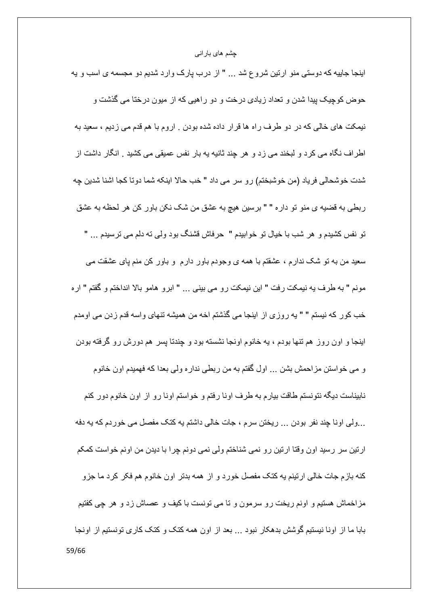اینجا جاییه که دوستی منو ارتین شروع شد … " از درب پارک وارد شدیم دو مجسمه ی اسب و یه حوض كوچيک پيدا شدن و تعداد زيادي درخت و دو راهيي كه از ميون درختا مي گذشت و نیمکت های خالی که در دو طرف راه ها قرار داده شده بودن . اروم با هم قدم می زدیم ، سعید به اطر اف نگاه می کرد و لبخند می زد و هر چند ثانیه به بار نفس عمیقی می کشید . انگار داشت از شدت خوشحالي فرياد (من خوشبختم) رو سر مي داد " خب حالا اينكه شما دونا كجا اشنا شدين چه ربطي به قضيه ي منو تو داره " " برسين هيچ به عشق من شک نکن باور کن هر لحظه به عشق تو نفس کشیدم و هر شب با خیال تو خوابیدم " حرفاش قشنگ بود ولمی ته دلم می ترسیدم … " سعید من به تو شک ندارم ، عشقتم با همه ی وجودم باور دارم ً و باور کن منم پای عشقت می مونم " به طرف به نيمكت رفت " اين نيمكت رو مي بيني ... " ابرو هامو بالا انداختم و گفتم " اره خب كور كه نيستم " " يه روزي از اينجا مي گذشتم اخه من هميشه تنهاي واسه قدم زدن مي اومدم اینجا و اون روز هم تنها بودم ، یه خانوم اونجا نشسته بود و چندتا پسر هم دورش رو گرفته بودن و مي خواستن مزاحمش بشن ... اول گفتم به من ربطي نداره ولي بعدا كه فهميدم اون خانوم نابیناست دیگه نتونستم طاقت بیارم به طرف اونا رفتم و خواستم اونا رو از اون خانوم دور کنم ...ولَّى اونا چِند نفر بودن ... ريختن سرم ، جات خالِّي داشتم يه كتك مفصل مي خور دم كه يه دفه ارتین سر رسید اون وقتا ارتین رو نمی شناختم ولی نمی دونم چرا با دیدن من اونم خواست کمکم كنه باز ِم جات خالي ارتينم يه كنك مفصل خورد و از همه بدتر اون خانوم هم فكر كرد ما جزو مزاخماش هستیم و اونم ریخت رو سرمون و تا می تونست با کیف و عصاش زد و هر چی کفتیم بابا ما از اونا نیستیم گوشش بدهکار نبود ... بعد از اون همه کتک و کتک کاری تونستیم از اونجا 59/66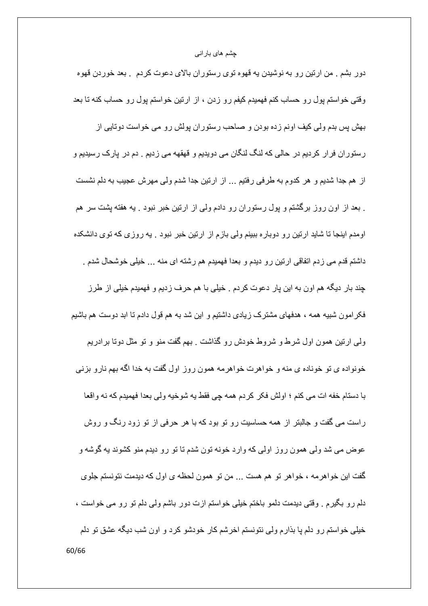دور بشم ـ من ارتین رو به نوشیدن یه قهوه توی رستوران بالای دعوت کردم ـ بعد خوردن قهوه وقتی خواستم پول رو حساب کنم فهمیدم کیفم رو زدن ، از ارتین خواستم پول رو حساب کنه تا بعد بهش پس بدم ولی کیف اونم زده بودن و صاحب رستوران پولش رو می خواست دوتایی از رستوران فرار كرديم در حالي كه لنگ لنگان مي دويديم و قهقهه مي زديم . دم در پارك رسيديم و از هم جدا شدیم و هر کدوم به طرفی رفتیم ... از ارتین جدا شدم ولی مهرش عجیب به دلم نشست . بعد از اون روز برگشتم و پول رستوران رو دادم ولمی از ارتین خبر نبود . یه هفته پشت سر هم اومدم اینجا تا شاید ارتین رو دوباره ببینم ولی بازم از ارتین خبر نبود . یه روزی که توی دانشکده داشتم قدم می زدم اتفاقی ارتین رو دیدم و بعدا فهمیدم هم رشته ای منه … خیلی خوشحال شدم . جند بار دیگه هم اون به این بار دعوت کردم . خیلی با هم حرف زدیم و فهمیدم خیلی از طرز فکر امون شبیه همه ، هدفهای مشترک زیادی داشتیم و این شد به هم قول دادم تا ابد دوست هم باشیم ولی ارتین همون اول شرط و شروط خودش رو گذاشت . بهم گفت منو و تو مثل دوتا بر ادریم خونواده ی تو خوناده ی منه و خواهرت خواهرمه همون روز اول گفت به خدا اگه بهم نارو بزنی با دستام خفه ات مي كنم ؛ اولش فكر كردم همه چي فقط يه شوخيه ولي بعدا فهميدم كه نه واقعا راست می گفت و جالبتر از همه حساسیت رو تو بود که با هر حرفی از تو زود رنگ و روش عوض مي شد ولي همون روز اولي كه وارد خونه تون شدم تا تو رو ديدم منو كشوند به گوشه و گفت این خو اهر مه ، خو اهر تو هم هست ... من تو همون لحظه ی اول که دیدمت نتونستم جلو ی دلم رو بگیرم . وقتی دیدمت دلمو باختم خیلی خواستم ازت دور باشم ولی دلم تو رو می خواست ، خیلی خواستم رو دلم یا بذارم ولی نتونستم اخرشم کار خودشو کرد و اون شب دیگه عشق تو دلم 60/66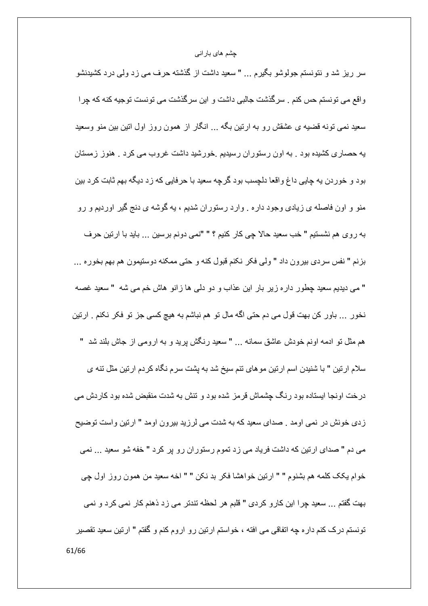سر ریز شد و نتونستم جولوشو بگیرم … " سعید داشت از گذشته حرف می زد ولمی درد کشیدنشو واقع می تونستم حس کنم . سرگذشت جالبی داشت و این سرگذشت می تونست توجیه کنه که چرا سعید نمبی تونه قضیه ی عشقش رو به ارتین بگه … انگار از همون روز اول اتین بین منو وسعید یه حصاری کشیده بود . به اون رستوران رسیدیم .خورشید داشت غروب می کرد . هنوز زمستان بود و خوردن يه چايي داغ واقعا دلچسب بود گرچه سعيد با حرفايي كه زد ديگه بهم ثابت كرد بين منو و اون فاصله ي زيادي وجود داره . وارد رستوران شديم ، يه گوشه ي دنج گير اورديم و رو به روى هم نشستيم " خب سعيد حالا چي كار كنيم ؟ " "نمي دونم برسين ... بايد با ارتين حرف بزنم " نفس سردي بيرون داد " ولي فكر نكنم قبول كنه و حتى ممكنه دوستيمون هم بهم بخوره ... " مي ديديم سعيد چطور داره زير بار اين عذاب و دو دلمي ها زانو هاش خم مي شه " سعيد غصه نخور … باور كن بهت قول مي دم حتى اگه مال تو هم نباشم به هيچ كسي جز تو فكر نكنم . ارتين هم مثَّل نو ادمه اونم خودش عاشق سمانه … " سعید رنگش پرید و به ارومی از جاش بلند شد " سلام ارتین " با شنیدن اسم ارتین مو های تنم سیخ شد به پشت سرم نگاه کردم ارتین مثل تنه ی درخت اونجا ایستاده بود رنگ چشماش قرمز شده بود و تنش به شدت منقبض شده بود کاردش می زدي خونش در نمي اومد . صداي سعيد كه به شدت مي لرزيد بيرون اومد " ارتين واست توضيح می دم " صدای ارتین که داشت فریاد می زد تموم رستوران رو بر کرد " خفه شو سعید ... نمی خوام يكك كلمه هم بشنوم " " ارتين خواهشا فكر بد نكن " " اخه سعيد من همون روز اول جي بهت گفتم ... سعيد چرا اين كارو كردي " قلبم هر لحظه تندتر مي زد ذهنم كار نمي كرد و نمي تونستم درک کنم دار ه چه اتفاقی می افته ، خواستم ارتین رو اروم کنم و گفتم " ارتین سعید تقصیر 61/66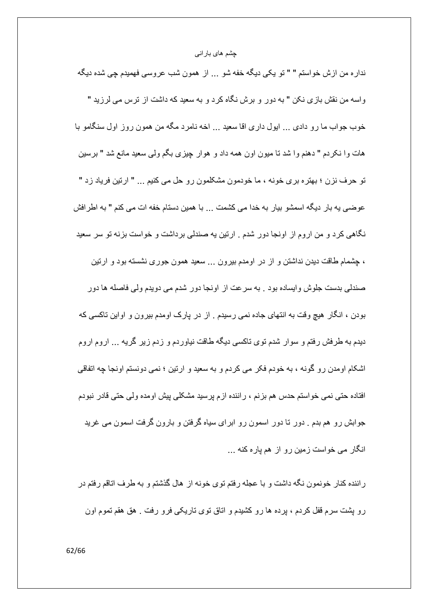نداره من ازش خواستم " " تو يكي ديگه خفه شو ... از همون شب عروسي فهميدم چي شده ديگه واسه من نقش بازي نكن " به دور و برش نگاه كرد و به سعيد كه داشت از ترس مي لرزيد " خوب جواب ما رو دادي ... ايول داري اقا سعيد ... اخه نامرد مگه من همون روز اول سنگامو با هات وا نكردم " دهنم وا شد نا ميون اون همه داد و هوار چيزي بگم ولمي سعيد مانع شد " برسين تو حرف نزن ؛ بهتره بري خونه ، ما خودمون مشكلمون رو حل مي كنيم ... " ارتين فرياد زد " عوضبي يه بار ديگه اسمشو بيار به خدا مي كشمت ... با همين دستام خفه ات مي كنم " به اطرافش نگاهی کرد و من اروم از اونجا دور شدم . ارتین یه صندلی برداشت و خواست بزنه تو سر سعید ، چشمام طاقت دیدن نداشتن و از در اومدم بیرون … سعید همون جوری نشسته بود و ارتین صندلی بدست جلوش و ایساده بود . به سر عت از او نجا دور شدم می دو بدم و لی فاصله ها دور بودن ، انگار هیچ وقت به انتهای جاده نمی رسیدم . از در پارک اومدم بیرون و اواین تاکسی که دیدم به طرفش رفتم و سوار شدم توی تاکسی دیگه طاقت نیاوردم و زدم زیر گریه ... اروم اروم اشکام اومدن رو گونه ، به خودم فکر می کردم و به سعید و ارتین ؛ نمی دونستم اونجا چه اتفاقی افتاده حتی نمی خواستم حدس هم بزنم ، راننده ازم پرسید مشکلی پیش اومده ولی حتی قادر نبودم جوابش رو هم بدم . دور تا دور اسمون رو ابرای سیاه گرفتن و بارون گرفت اسمون می غرید انگار می خواست زمین رو از هم یاره کنه ...

راننده کنار خونمون نگه داشت و با عجله رفتم توی خونه از هال گذشتم و به طرف اتاقم رفتم در رو بِشت سرم قفل کردم ، برده ها رو کشیدم و اتاق توی تاریکی فرو رفت . هق هقم تموم اون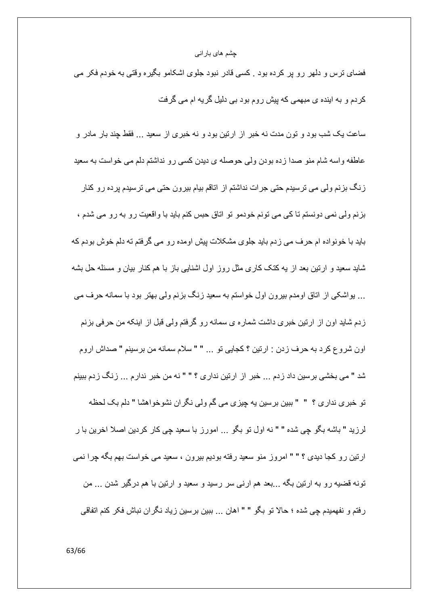فضای ترس و دلهر رو پر کرده بود <sub>.</sub> کسی قادر نبود جلوی اشکامو بگیره وقتی به خودم فکر می کردم و به اینده ی مبهمی که پیش روم بود بی دلیل گریه ام می گرفت

ساعت یک شب بود و تون مدت نه خبر از ارتین بود و نه خبری از سعید … فقط چند بار مادر و عاطفه واسه شام منو صدا زده بودن ولي حوصله ي ديدن كسي رو نداشتم دلم مي خواست به سعيد زنگ بزنم ولی می ترسیدم حتی جرات نداشتم از اتاقم بیام بیرون حتی می ترسیدم برده رو کنار بزنم ولّی نمی دونستم تا کی می تونم خودمو تو اتاق حبس کنم باید با واقعیت رو به رو می شدم ، باید با خونواده ام حرف می زدم باید جلوی مشکلات پیش اومده رو می گرفتم ته دلم خوش بودم که شاید سعید و ارتین بعد از به کنک کاری مثل روز اول اشنایی باز با هم کنار بیان و مسئله حل بشه … پواشکی از اتاق اومدم بیرون اول خواستم به سعید زنگ بزنم ولی بهتر بود با سمانه حرف می زدم شاید اون از ارتین خبری داشت شماره ی سمانه رو گرفتم ولی قبل از اینکه من حرفی بزنم اون شروع كرد به حرف زدن : ارتين ؟ كجابي تو ... " " سلام سمانه من برسينم " صداش اروم شد " می بخشی برسین داد زدم ... خبر از ارتین نداری ؟ " " نه من خبر ندارم ... زنگ زدم ببینم تو خبري نداري ؟ " " ببين برسين يه چيزي مي گم ولي نگران نشوخواهشا " دلم بک لحظه لرزيد " باشه بگو چي شده " " نه اول تو بگو ... امورز با سعيد چي كار كردين اصلا اخرين با ر ارتین رو کجا دیدی ؟ " " امروز منو سعید رفته بودیم بیرون ، سعید می خواست بهم بگه چرا نمی تونه قضیه رو به ارتین بگه ...بعد هم ارنبی سر رسید و سعید و ارتین با هم درگیر شدن ... من رفتم و نفهميدم چي شده ؛ حالا تو بگو " " اهان ... ببين برسين زياد نگران نباش فكر كنم اتفاقي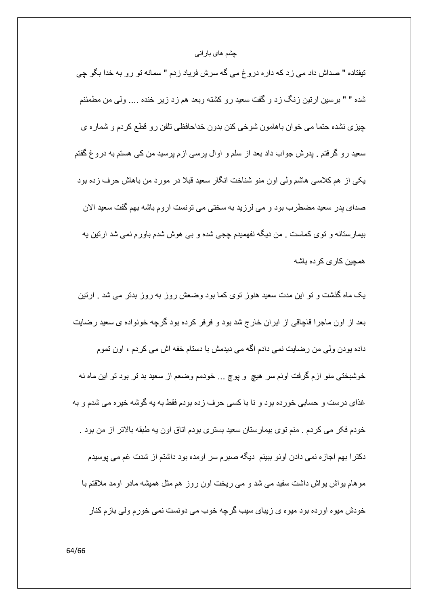تيفتاده " صداش داد مي زد كه دار ه دروغ مي گه سرش فرياد زدم " سمانه تو رو به خدا بگو چي شده " " برسین ارتین زنگ زد و گفت سعید رو کشته وبعد هم زد زیر خنده .... ولی من مطمئنم چیزی نشده حتما می خوان باهامون شوخی کنن بدون خداحافظی تلفن رو قطع کردم و شماره ی سعید رو گرفتم . پدرش جواب داد بعد از سلم و اوال پرسی ازم پرسید من کی هستم به دروغ گفتم یکی از هم کلاسی هاشم ولی اون منو شناخت انگار سعید قبلا در مورد من باهاش حرف زده بود صداي پدر سعيد مضطرب بود و مي لرزيد به سختي مي تونست اروم باشه بهم گفت سعيد الان بیمارستانه و توی کماست . من دیگه نفهمیدم چجی شده و بی هوش شدم باورم نمی شد ارتین یه همچین کاری کرده باشه

یک ماه گذشت و تو این مدت سعید هنوز توی کما بود وضعش روز به روز بدتر می شد <sub>.</sub> ارتین بعد از اون ماجرا قاچاقی از ایران خارج شد بود و فرفر کرده بود گرچه خونواده ی سعید رضایت داده پودن ولی من رضایت نمی دادم اگه می دیدمش با دستام خفه اش می کردم ، اون تموم خوشبختي منو ازم گرفت اونم سر هيچ و پوچ ... خودمم وضعم از سعيد بد تر بود تو اين ماه نه غذای درست و حسابی خورده بود و نا با کسی حرف زده بودم فقط به یه گوشه خیره می شدم و به خودم فكر مي كردم . منم توي بيمارستان سعيد بستري بودم اتاق اون يه طبقه بالاتر از من بود . دکترا بهم اجازه نمی دادن اونو ببینم دیگه صبر م سر اومده بود داشتم از شدت غم می پوسیدم موهام بواش بواش داشت سفید می شد و می ریخت اون روز هم مثل همیشه مادر اومد ملاقتم با خو دش میو ہ او ر دہ بو د میو ہ ی ز بیای سیب گر جه خو ب مے دو نست نمے خو ر م و لے باز م کنار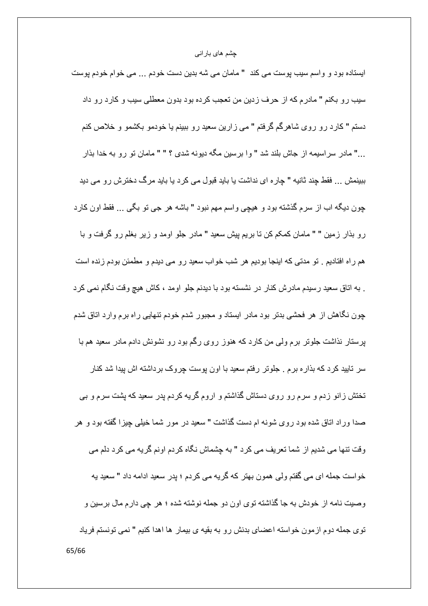ایستاده بود و واسم سیب پوست می کند " مامان می شه بدین دست خودم ... می خوام خودم پوست سیب رو بکنم " مادرم که از حرف زدین من تعجب کرده بود بدون معطلی سیب و کارد رو داد دستم " کارد رو روی شاهرگم گرفتم " می زارین سعید رو ببینم یا خودمو بکشمو و خلاص کنم ..." مادر سر اسیمه از جاش بلند شد " و ا بر سین مگه دیونه شدی ؟ " " مامان نو رو به خدا بذار ببینمش ... فقط چند ثانیه " چاره ای نداشت یا باید قبول می کرد یا باید مرگ دخترش رو می دید چون دیگه اب از سرم گذشته بود و هیچی واسم مهم نبود " باشه هر جی تو بگی ... فقط اون کارد رو بذار زمین " " مامان کمکم کن نا بریم پیش سعید " مادر جلو اومد و زیر بغلم رو گرفت و با هم راه افتادیم <sub>.</sub> تو مدتی که اینجا بودیم هر شب خواب سعید رو می دیدم و مطمئن بودم زنده است . به اتاق سعید ر سیدم مادر ش کنار در نشسته بو د با دیدنم جلو او مد ، کاش هیچ و قت نگام نمی کر د چون نگاهش از هر فحشی بدتر بود مادر ایستاد و مجبور شدم خودم تنهایی راه برم وارد اتاق شدم پرستار نذاشت جلوتر برم ولّی من کارد که هنوز روی رگم بود رو نشونش دادم مادر سعید هم با سر تایید کرد که بذار ه برم <sub>.</sub> جلوتر رفتم سعید با اون پوست چروک برداشته اش پیدا شد کنار تختش زانو زدم و سرم رو روی دستاش گذاشتم و اروم گریه کردم پدر سعید که پشت سرم و بی صدا وراد اتاق شده بود روی شونه ام دست گذاشت " سعید در مور شما خیلی چیزا گفته بود و هر وقت ننها می شدیم از شما نعریف می کرد " به چشماش نگاه کردم اونم گریه می کرد دلم می خواست جمله اي مي گفتم ولي همون بهتر كه گريه مي كردم ؛ پدر سعيد ادامه داد " سعيد يه وصيت نامه از خودش به جا گذاشته توي اون دو جمله نوشته شده ؛ هر چي دارم مال برسين و توى جمله دوم ازمون خواسته اعضاى بدنش رو به بقيه ى بيمار ٍ ها اهدا كنيم " نمى تونستم فرياد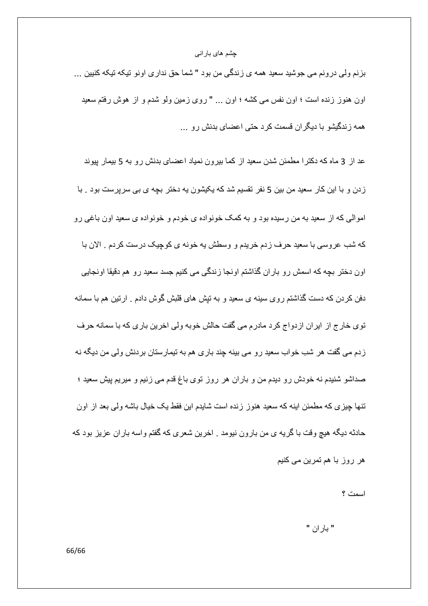بزنم ولمي درونم مي جوشيد سعيد همه ي زندگي من بود " شما حق نداري اونو تيكه تيكه كنيين ... اون هنوز زنده است ؛ اون نفس می کشه ؛ اون ... " روی زمین ولو شدم و از هوش رفتم سعید همه ز ندگیشو با دیگر ان قسمت کر د حتی اعضای بدنش ر و ...

عد از 3 ماه که دکترا مطمئن شدن سعید از کما بیرون نمیاد اعضای بدنش رو به 5 بیمار پیوند زدن و با این کار سعید من بین 5 نفر نقسیم شد که یکیشون یه دختر بچه ی بی سرپرست بود . با اموالی که از سعید به من رسیده بود و به کمک خونواده ی خودم و خونواده ی سعید اون باغی رو كه شب عروسي با سعيد حرف زدم خريدم و وسطش به خونه ي كوچيك درست كردم . الان با اون دختر بچه که اسمش رو باران گذاشتم اونجا زندگی می کنیم جسد سعید رو هم دقیقا اونجایی دفن کردن که دست گذاشتم روی سینه ی سعید و به نیش های قلبش گوش دادم . ارتین هم با سمانه توى خارج از ايران ازدواج كرد مادرم مى گفت حالش خوبه ولى اخرين بارى كه با سمانه حرف زدم می گفت هر شب خواب سعید رو می بینه چند باری هم به تیمارستان بردنش ولی من دیگه نه صداشو شنیدم نه خودش رو دیدم من و باران هر روز توی باغ قدم می زنیم و میریم پیش سعید ؛ تنها چیزی که مطمئن اینه که سعید هنوز زنده است شایدم این فقط یک خیال باشه ولی بعد از اون حادثه دیگه هیچ وقت با گریه ی من بارون نیومد . اخرین شعری که گفتم واسه باران عزیز بود که ھر روز با ھم تمرين م*ي* كنيم

اسمت ؟

" بار ان "

66/66